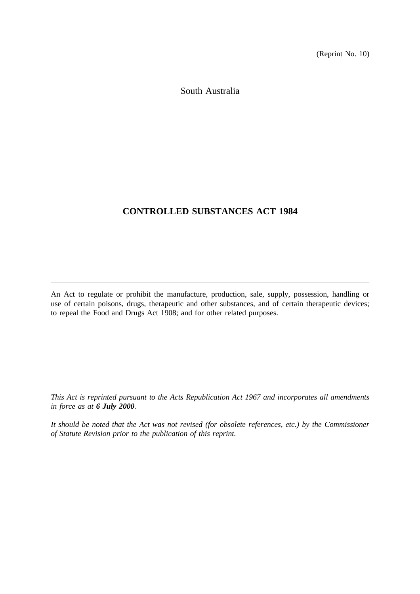(Reprint No. 10)

South Australia

# **CONTROLLED SUBSTANCES ACT 1984**

An Act to regulate or prohibit the manufacture, production, sale, supply, possession, handling or use of certain poisons, drugs, therapeutic and other substances, and of certain therapeutic devices; to repeal the Food and Drugs Act 1908; and for other related purposes.

*This Act is reprinted pursuant to the Acts Republication Act 1967 and incorporates all amendments in force as at 6 July 2000.*

*It should be noted that the Act was not revised (for obsolete references, etc.) by the Commissioner of Statute Revision prior to the publication of this reprint.*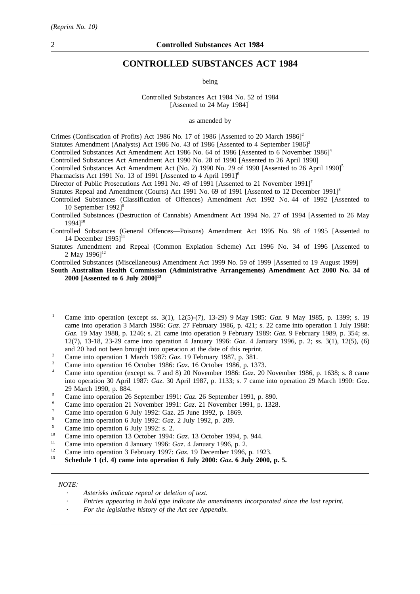## **CONTROLLED SUBSTANCES ACT 1984**

being

Controlled Substances Act 1984 No. 52 of 1984 [Assented to 24 May  $1984$ ]<sup>1</sup>

as amended by

Crimes (Confiscation of Profits) Act 1986 No. 17 of 1986 [Assented to 20 March 1986]2

Statutes Amendment (Analysts) Act 1986 No. 43 of 1986 [Assented to 4 September 1986]<sup>3</sup>

Controlled Substances Act Amendment Act 1986 No. 64 of 1986 [Assented to 6 November 1986]<sup>4</sup>

Controlled Substances Act Amendment Act 1990 No. 28 of 1990 [Assented to 26 April 1990]

Controlled Substances Act Amendment Act (No. 2) 1990 No. 29 of 1990 [Assented to 26 April 1990]<sup>5</sup>

Pharmacists Act 1991 No. 13 of 1991 [Assented to 4 April 1991]<sup>6</sup>

Director of Public Prosecutions Act 1991 No. 49 of 1991 [Assented to 21 November 1991]<sup>7</sup>

Statutes Repeal and Amendment (Courts) Act 1991 No. 69 of 1991 [Assented to 12 December 1991]<sup>8</sup>

Controlled Substances (Classification of Offences) Amendment Act 1992 No. 44 of 1992 [Assented to 10 September 19921<sup>9</sup>

Controlled Substances (Destruction of Cannabis) Amendment Act 1994 No. 27 of 1994 [Assented to 26 May 1994]<sup>10</sup>

Controlled Substances (General Offences—Poisons) Amendment Act 1995 No. 98 of 1995 [Assented to 14 December  $1995$ ]<sup>11</sup>

Statutes Amendment and Repeal (Common Expiation Scheme) Act 1996 No. 34 of 1996 [Assented to 2 May 1996]<sup>12</sup>

Controlled Substances (Miscellaneous) Amendment Act 1999 No. 59 of 1999 [Assented to 19 August 1999]

**South Australian Health Commission (Administrative Arrangements) Amendment Act 2000 No. 34 of 2000 [Assented to 6 July 2000]13**

- <sup>1</sup> Came into operation (except ss. 3(1), 12(5)-(7), 13-29) 9 May 1985: *Gaz*. 9 May 1985, p. 1399; s. 19 came into operation 3 March 1986: *Gaz*. 27 February 1986, p. 421; s. 22 came into operation 1 July 1988: *Gaz*. 19 May 1988, p. 1246; s. 21 came into operation 9 February 1989: *Gaz*. 9 February 1989, p. 354; ss. 12(7), 13-18, 23-29 came into operation 4 January 1996: *Gaz*. 4 January 1996, p. 2; ss. 3(1), 12(5), (6) and 20 had not been brought into operation at the date of this reprint.
- <sup>2</sup> Came into operation 1 March 1987: *Gaz*. 19 February 1987, p. 381.
- <sup>3</sup> Came into operation 16 October 1986: *Gaz*. 16 October 1986, p. 1373.
- <sup>4</sup> Came into operation (except ss. 7 and 8) 20 November 1986: *Gaz*. 20 November 1986, p. 1638; s. 8 came into operation 30 April 1987: *Gaz*. 30 April 1987, p. 1133; s. 7 came into operation 29 March 1990: *Gaz*. 29 March 1990, p. 884.
- <sup>5</sup> Came into operation 26 September 1991: *Gaz*. 26 September 1991, p. 890.
- <sup>6</sup> Came into operation 21 November 1991: *Gaz*. 21 November 1991, p. 1328.
- <sup>7</sup> Came into operation 6 July 1992: Gaz. 25 June 1992, p. 1869.
- <sup>8</sup> Came into operation 6 July 1992: *Gaz*. 2 July 1992, p. 209.
- $^{9}$  Came into operation 6 July 1992: s. 2.
- <sup>10</sup> Came into operation 13 October 1994: *Gaz*. 13 October 1994, p. 944.
- <sup>11</sup> Came into operation 4 January 1996: *Gaz*. 4 January 1996, p. 2.<br><sup>12</sup> Came into operation 2 February 1997: *Care 19* December 1996.
- <sup>12</sup> Came into operation 3 February 1997: *Gaz*. 19 December 1996, p. 1923.<br><sup>13</sup> Schadula 1 (a) all game into anomation 6 July 2000, *Gaz*. 6 July 2000.
- **<sup>13</sup> Schedule 1 (cl. 4) came into operation 6 July 2000:** *Gaz***. 6 July 2000, p. 5.**

#### *NOTE:*

- *Asterisks indicate repeal or deletion of text.*
- *Entries appearing in bold type indicate the amendments incorporated since the last reprint.*
- *For the legislative history of the Act see Appendix.*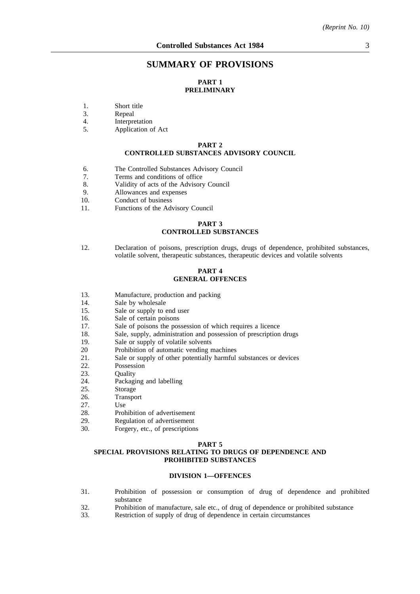# **SUMMARY OF PROVISIONS**

## **PART 1 PRELIMINARY**

- 1. Short title<br>3. Repeal
- 3. Repeal<br>4 Interpre
- 4. Interpretation<br>5 Application of
- Application of Act

#### **PART 2 CONTROLLED SUBSTANCES ADVISORY COUNCIL**

- 6. The Controlled Substances Advisory Council
- 7. Terms and conditions of office<br>8. Validity of acts of the Advisory
- 8. Validity of acts of the Advisory Council<br>9. Allowances and expenses
- 9. Allowances and expenses<br>10. Conduct of business
- Conduct of business
- 11. Functions of the Advisory Council

## **PART 3 CONTROLLED SUBSTANCES**

12. Declaration of poisons, prescription drugs, drugs of dependence, prohibited substances, volatile solvent, therapeutic substances, therapeutic devices and volatile solvents

# **PART 4**

## **GENERAL OFFENCES**

- 13. Manufacture, production and packing
- 14. Sale by wholesale
- 15. Sale or supply to end user
- 16. Sale of certain poisons
- 17. Sale of poisons the possession of which requires a licence
- 18. Sale, supply, administration and possession of prescription drugs
- 19. Sale or supply of volatile solvents
- 20 Prohibition of automatic vending machines
- 21. Sale or supply of other potentially harmful substances or devices
- 22. Possession
- 23. Quality<br>24. Packagi
- 24. Packaging and labelling<br>25. Storage
- Storage
- 26. Transport<br>27. Use
- Use
- 28. Prohibition of advertisement
- 29. Regulation of advertisement
- 30. Forgery, etc., of prescriptions

#### **PART 5**

## **SPECIAL PROVISIONS RELATING TO DRUGS OF DEPENDENCE AND PROHIBITED SUBSTANCES**

### **DIVISION 1—OFFENCES**

- 31. Prohibition of possession or consumption of drug of dependence and prohibited substance
- 32. Prohibition of manufacture, sale etc., of drug of dependence or prohibited substance<br>33. Restriction of supply of drug of dependence in certain circumstances
- Restriction of supply of drug of dependence in certain circumstances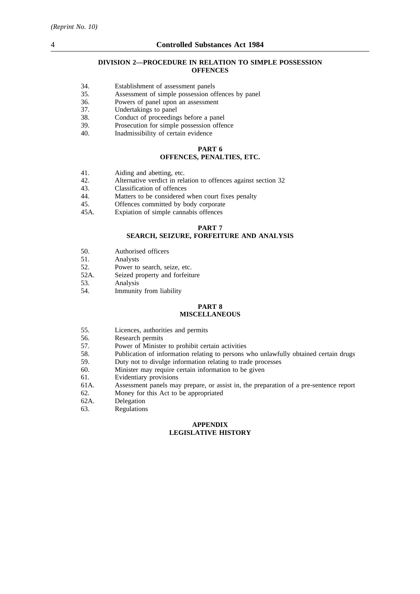## **DIVISION 2—PROCEDURE IN RELATION TO SIMPLE POSSESSION OFFENCES**

- 34. Establishment of assessment panels<br>35. Assessment of simple possession of
- Assessment of simple possession offences by panel
- 36. Powers of panel upon an assessment
- 37. Undertakings to panel
- 38. Conduct of proceedings before a panel
- 39. Prosecution for simple possession offence
- 40. Inadmissibility of certain evidence

## **PART 6 OFFENCES, PENALTIES, ETC.**

- 41. Aiding and abetting, etc.
- 42. Alternative verdict in relation to offences against section 32
- 43. Classification of offences<br>44. Matters to be considered
- 44. Matters to be considered when court fixes penalty<br>45. Offences committed by body corporate
- 45. Offences committed by body corporate<br>45A. Expiation of simple cannabis offences
- Expiation of simple cannabis offences

#### **PART 7**

#### **SEARCH, SEIZURE, FORFEITURE AND ANALYSIS**

- 50. Authorised officers
- 51. Analysts
- 52. Power to search, seize, etc.
- 52A. Seized property and forfeiture
- 53. Analysis
- 54. Immunity from liability

## **PART 8**

#### **MISCELLANEOUS**

- 55. Licences, authorities and permits
- 56. Research permits
- 57. Power of Minister to prohibit certain activities
- 58. Publication of information relating to persons who unlawfully obtained certain drugs
- 59. Duty not to divulge information relating to trade processes
- 60. Minister may require certain information to be given
- 61. Evidentiary provisions
- 61A. Assessment panels may prepare, or assist in, the preparation of a pre-sentence report
- 62. Money for this Act to be appropriated
- 62A. Delegation
- 63. Regulations

#### **APPENDIX LEGISLATIVE HISTORY**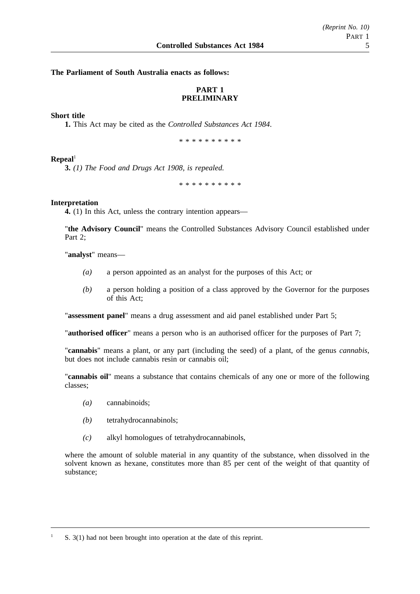## **The Parliament of South Australia enacts as follows:**

# **PART 1 PRELIMINARY**

## **Short title**

**1.** This Act may be cited as the *Controlled Substances Act 1984*.

\*\*\*\*\*\*\*\*\*\*

#### $\mathbf{Repeal}^1$

**3.** *(1) The Food and Drugs Act 1908, is repealed.*

\*\*\*\*\*\*\*\*\*\*

#### **Interpretation**

**4.** (1) In this Act, unless the contrary intention appears—

"**the Advisory Council**" means the Controlled Substances Advisory Council established under Part 2;

"**analyst**" means—

- *(a)* a person appointed as an analyst for the purposes of this Act; or
- *(b)* a person holding a position of a class approved by the Governor for the purposes of this Act;

"**assessment panel**" means a drug assessment and aid panel established under Part 5;

"**authorised officer**" means a person who is an authorised officer for the purposes of Part 7;

"**cannabis**" means a plant, or any part (including the seed) of a plant, of the genus *cannabis*, but does not include cannabis resin or cannabis oil;

"**cannabis oil**" means a substance that contains chemicals of any one or more of the following classes;

- *(a)* cannabinoids;
- *(b)* tetrahydrocannabinols;
- *(c)* alkyl homologues of tetrahydrocannabinols,

where the amount of soluble material in any quantity of the substance, when dissolved in the solvent known as hexane, constitutes more than 85 per cent of the weight of that quantity of substance;

S. 3(1) had not been brought into operation at the date of this reprint.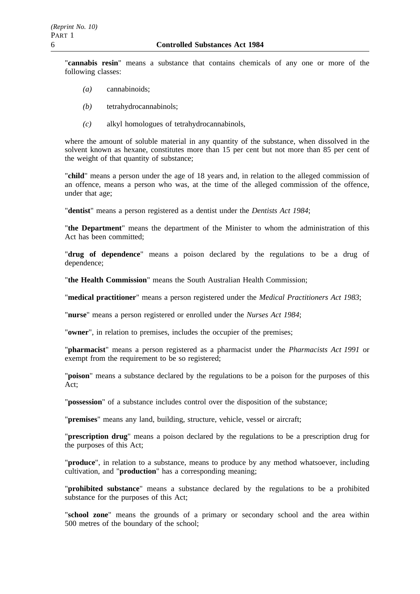"**cannabis resin**" means a substance that contains chemicals of any one or more of the following classes:

- *(a)* cannabinoids;
- *(b)* tetrahydrocannabinols;
- *(c)* alkyl homologues of tetrahydrocannabinols,

where the amount of soluble material in any quantity of the substance, when dissolved in the solvent known as hexane, constitutes more than 15 per cent but not more than 85 per cent of the weight of that quantity of substance;

"**child**" means a person under the age of 18 years and, in relation to the alleged commission of an offence, means a person who was, at the time of the alleged commission of the offence, under that age;

"**dentist**" means a person registered as a dentist under the *Dentists Act 1984*;

"**the Department**" means the department of the Minister to whom the administration of this Act has been committed;

"**drug of dependence**" means a poison declared by the regulations to be a drug of dependence;

"**the Health Commission**" means the South Australian Health Commission;

"**medical practitioner**" means a person registered under the *Medical Practitioners Act 1983*;

"**nurse**" means a person registered or enrolled under the *Nurses Act 1984*;

"**owner**", in relation to premises, includes the occupier of the premises;

"**pharmacist**" means a person registered as a pharmacist under the *Pharmacists Act 1991* or exempt from the requirement to be so registered;

"**poison**" means a substance declared by the regulations to be a poison for the purposes of this Act;

"**possession**" of a substance includes control over the disposition of the substance;

"**premises**" means any land, building, structure, vehicle, vessel or aircraft;

"**prescription drug**" means a poison declared by the regulations to be a prescription drug for the purposes of this Act;

"**produce**", in relation to a substance, means to produce by any method whatsoever, including cultivation, and "**production**" has a corresponding meaning;

"**prohibited substance**" means a substance declared by the regulations to be a prohibited substance for the purposes of this Act;

"**school zone**" means the grounds of a primary or secondary school and the area within 500 metres of the boundary of the school;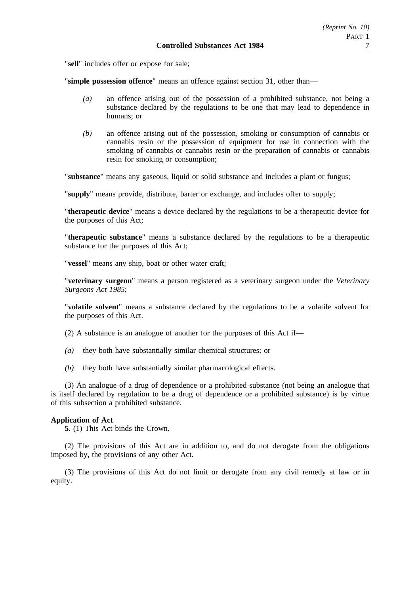"**sell**" includes offer or expose for sale;

"**simple possession offence**" means an offence against section 31, other than—

- *(a)* an offence arising out of the possession of a prohibited substance, not being a substance declared by the regulations to be one that may lead to dependence in humans; or
- *(b)* an offence arising out of the possession, smoking or consumption of cannabis or cannabis resin or the possession of equipment for use in connection with the smoking of cannabis or cannabis resin or the preparation of cannabis or cannabis resin for smoking or consumption;

"**substance**" means any gaseous, liquid or solid substance and includes a plant or fungus;

"**supply**" means provide, distribute, barter or exchange, and includes offer to supply;

"**therapeutic device**" means a device declared by the regulations to be a therapeutic device for the purposes of this Act;

"**therapeutic substance**" means a substance declared by the regulations to be a therapeutic substance for the purposes of this Act;

"**vessel**" means any ship, boat or other water craft;

"**veterinary surgeon**" means a person registered as a veterinary surgeon under the *Veterinary Surgeons Act 1985*;

"**volatile solvent**" means a substance declared by the regulations to be a volatile solvent for the purposes of this Act.

(2) A substance is an analogue of another for the purposes of this Act if—

- *(a)* they both have substantially similar chemical structures; or
- *(b)* they both have substantially similar pharmacological effects.

(3) An analogue of a drug of dependence or a prohibited substance (not being an analogue that is itself declared by regulation to be a drug of dependence or a prohibited substance) is by virtue of this subsection a prohibited substance.

## **Application of Act**

**5.** (1) This Act binds the Crown.

(2) The provisions of this Act are in addition to, and do not derogate from the obligations imposed by, the provisions of any other Act.

(3) The provisions of this Act do not limit or derogate from any civil remedy at law or in equity.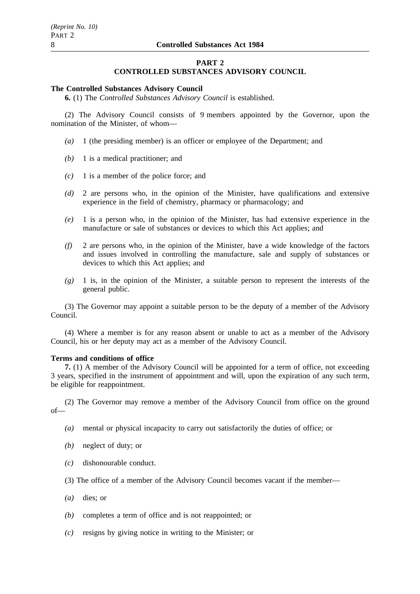#### **PART 2 CONTROLLED SUBSTANCES ADVISORY COUNCIL**

#### **The Controlled Substances Advisory Council**

**6.** (1) The *Controlled Substances Advisory Council* is established.

(2) The Advisory Council consists of 9 members appointed by the Governor, upon the nomination of the Minister, of whom—

- *(a)* 1 (the presiding member) is an officer or employee of the Department; and
- *(b)* 1 is a medical practitioner; and
- *(c)* 1 is a member of the police force; and
- *(d)* 2 are persons who, in the opinion of the Minister, have qualifications and extensive experience in the field of chemistry, pharmacy or pharmacology; and
- *(e)* 1 is a person who, in the opinion of the Minister, has had extensive experience in the manufacture or sale of substances or devices to which this Act applies; and
- *(f)* 2 are persons who, in the opinion of the Minister, have a wide knowledge of the factors and issues involved in controlling the manufacture, sale and supply of substances or devices to which this Act applies; and
- *(g)* 1 is, in the opinion of the Minister, a suitable person to represent the interests of the general public.

(3) The Governor may appoint a suitable person to be the deputy of a member of the Advisory Council.

(4) Where a member is for any reason absent or unable to act as a member of the Advisory Council, his or her deputy may act as a member of the Advisory Council.

## **Terms and conditions of office**

**7.** (1) A member of the Advisory Council will be appointed for a term of office, not exceeding 3 years, specified in the instrument of appointment and will, upon the expiration of any such term, be eligible for reappointment.

(2) The Governor may remove a member of the Advisory Council from office on the ground of—

- *(a)* mental or physical incapacity to carry out satisfactorily the duties of office; or
- *(b)* neglect of duty; or
- *(c)* dishonourable conduct.
- (3) The office of a member of the Advisory Council becomes vacant if the member—
- *(a)* dies; or
- *(b)* completes a term of office and is not reappointed; or
- *(c)* resigns by giving notice in writing to the Minister; or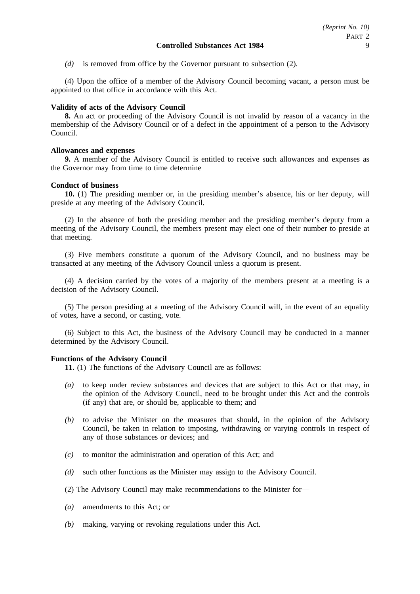*(d)* is removed from office by the Governor pursuant to subsection (2).

(4) Upon the office of a member of the Advisory Council becoming vacant, a person must be appointed to that office in accordance with this Act.

## **Validity of acts of the Advisory Council**

**8.** An act or proceeding of the Advisory Council is not invalid by reason of a vacancy in the membership of the Advisory Council or of a defect in the appointment of a person to the Advisory Council.

## **Allowances and expenses**

**9.** A member of the Advisory Council is entitled to receive such allowances and expenses as the Governor may from time to time determine

## **Conduct of business**

**10.** (1) The presiding member or, in the presiding member's absence, his or her deputy, will preside at any meeting of the Advisory Council.

(2) In the absence of both the presiding member and the presiding member's deputy from a meeting of the Advisory Council, the members present may elect one of their number to preside at that meeting.

(3) Five members constitute a quorum of the Advisory Council, and no business may be transacted at any meeting of the Advisory Council unless a quorum is present.

(4) A decision carried by the votes of a majority of the members present at a meeting is a decision of the Advisory Council.

(5) The person presiding at a meeting of the Advisory Council will, in the event of an equality of votes, have a second, or casting, vote.

(6) Subject to this Act, the business of the Advisory Council may be conducted in a manner determined by the Advisory Council.

## **Functions of the Advisory Council**

**11.** (1) The functions of the Advisory Council are as follows:

- *(a)* to keep under review substances and devices that are subject to this Act or that may, in the opinion of the Advisory Council, need to be brought under this Act and the controls (if any) that are, or should be, applicable to them; and
- *(b)* to advise the Minister on the measures that should, in the opinion of the Advisory Council, be taken in relation to imposing, withdrawing or varying controls in respect of any of those substances or devices; and
- *(c)* to monitor the administration and operation of this Act; and
- *(d)* such other functions as the Minister may assign to the Advisory Council.
- (2) The Advisory Council may make recommendations to the Minister for—
- *(a)* amendments to this Act; or
- *(b)* making, varying or revoking regulations under this Act.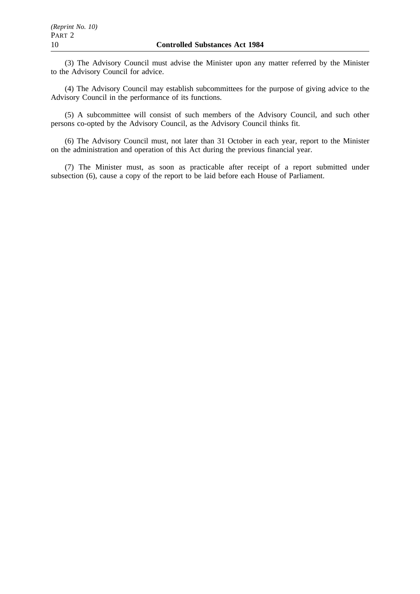(3) The Advisory Council must advise the Minister upon any matter referred by the Minister to the Advisory Council for advice.

(4) The Advisory Council may establish subcommittees for the purpose of giving advice to the Advisory Council in the performance of its functions.

(5) A subcommittee will consist of such members of the Advisory Council, and such other persons co-opted by the Advisory Council, as the Advisory Council thinks fit.

(6) The Advisory Council must, not later than 31 October in each year, report to the Minister on the administration and operation of this Act during the previous financial year.

(7) The Minister must, as soon as practicable after receipt of a report submitted under subsection (6), cause a copy of the report to be laid before each House of Parliament.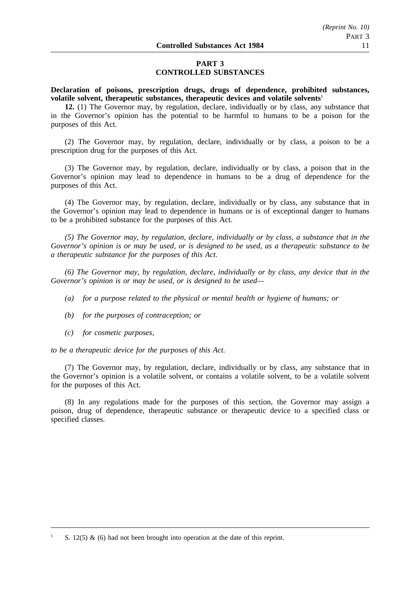# **PART 3 CONTROLLED SUBSTANCES**

## **Declaration of poisons, prescription drugs, drugs of dependence, prohibited substances,** volatile solvent, therapeutic substances, therapeutic devices and volatile solvents<sup>1</sup>

**12.** (1) The Governor may, by regulation, declare, individually or by class, any substance that in the Governor's opinion has the potential to be harmful to humans to be a poison for the purposes of this Act.

(2) The Governor may, by regulation, declare, individually or by class, a poison to be a prescription drug for the purposes of this Act.

(3) The Governor may, by regulation, declare, individually or by class, a poison that in the Governor's opinion may lead to dependence in humans to be a drug of dependence for the purposes of this Act.

(4) The Governor may, by regulation, declare, individually or by class, any substance that in the Governor's opinion may lead to dependence in humans or is of exceptional danger to humans to be a prohibited substance for the purposes of this Act.

*(5) The Governor may, by regulation, declare, individually or by class, a substance that in the Governor's opinion is or may be used, or is designed to be used, as a therapeutic substance to be a therapeutic substance for the purposes of this Act.*

*(6) The Governor may, by regulation, declare, individually or by class, any device that in the Governor's opinion is or may be used, or is designed to be used—*

- *(a) for a purpose related to the physical or mental health or hygiene of humans; or*
- *(b) for the purposes of contraception; or*
- *(c) for cosmetic purposes,*

*to be a therapeutic device for the purposes of this Act.*

(7) The Governor may, by regulation, declare, individually or by class, any substance that in the Governor's opinion is a volatile solvent, or contains a volatile solvent, to be a volatile solvent for the purposes of this Act.

(8) In any regulations made for the purposes of this section, the Governor may assign a poison, drug of dependence, therapeutic substance or therapeutic device to a specified class or specified classes.

S. 12(5)  $\&$  (6) had not been brought into operation at the date of this reprint.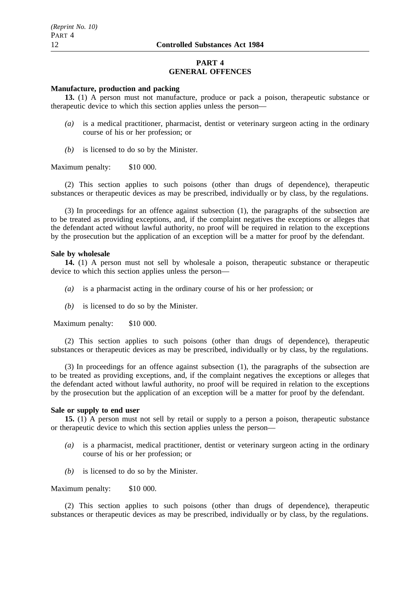## **PART 4 GENERAL OFFENCES**

## **Manufacture, production and packing**

**13.** (1) A person must not manufacture, produce or pack a poison, therapeutic substance or therapeutic device to which this section applies unless the person—

- *(a)* is a medical practitioner, pharmacist, dentist or veterinary surgeon acting in the ordinary course of his or her profession; or
- *(b)* is licensed to do so by the Minister.

Maximum penalty: \$10 000.

(2) This section applies to such poisons (other than drugs of dependence), therapeutic substances or therapeutic devices as may be prescribed, individually or by class, by the regulations.

(3) In proceedings for an offence against subsection (1), the paragraphs of the subsection are to be treated as providing exceptions, and, if the complaint negatives the exceptions or alleges that the defendant acted without lawful authority, no proof will be required in relation to the exceptions by the prosecution but the application of an exception will be a matter for proof by the defendant.

#### **Sale by wholesale**

**14.** (1) A person must not sell by wholesale a poison, therapeutic substance or therapeutic device to which this section applies unless the person—

- *(a)* is a pharmacist acting in the ordinary course of his or her profession; or
- *(b)* is licensed to do so by the Minister.

Maximum penalty: \$10 000.

(2) This section applies to such poisons (other than drugs of dependence), therapeutic substances or therapeutic devices as may be prescribed, individually or by class, by the regulations.

(3) In proceedings for an offence against subsection (1), the paragraphs of the subsection are to be treated as providing exceptions, and, if the complaint negatives the exceptions or alleges that the defendant acted without lawful authority, no proof will be required in relation to the exceptions by the prosecution but the application of an exception will be a matter for proof by the defendant.

#### **Sale or supply to end user**

**15.** (1) A person must not sell by retail or supply to a person a poison, therapeutic substance or therapeutic device to which this section applies unless the person—

- *(a)* is a pharmacist, medical practitioner, dentist or veterinary surgeon acting in the ordinary course of his or her profession; or
- *(b)* is licensed to do so by the Minister.

Maximum penalty: \$10 000.

(2) This section applies to such poisons (other than drugs of dependence), therapeutic substances or therapeutic devices as may be prescribed, individually or by class, by the regulations.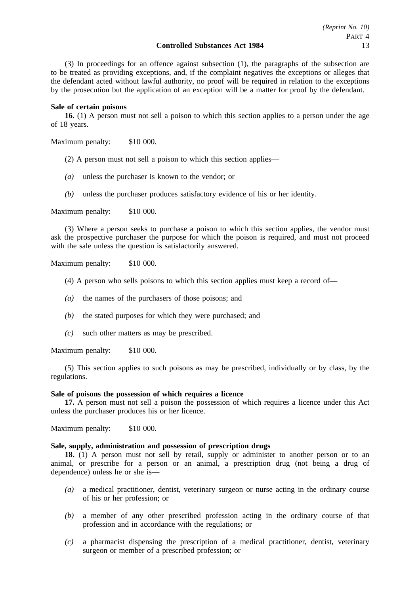(3) In proceedings for an offence against subsection (1), the paragraphs of the subsection are to be treated as providing exceptions, and, if the complaint negatives the exceptions or alleges that the defendant acted without lawful authority, no proof will be required in relation to the exceptions by the prosecution but the application of an exception will be a matter for proof by the defendant.

## **Sale of certain poisons**

**16.** (1) A person must not sell a poison to which this section applies to a person under the age of 18 years.

Maximum penalty: \$10 000.

(2) A person must not sell a poison to which this section applies—

- *(a)* unless the purchaser is known to the vendor; or
- *(b)* unless the purchaser produces satisfactory evidence of his or her identity.

Maximum penalty: \$10 000.

(3) Where a person seeks to purchase a poison to which this section applies, the vendor must ask the prospective purchaser the purpose for which the poison is required, and must not proceed with the sale unless the question is satisfactorily answered.

Maximum penalty: \$10 000.

- (4) A person who sells poisons to which this section applies must keep a record of—
- *(a)* the names of the purchasers of those poisons; and
- *(b)* the stated purposes for which they were purchased; and
- *(c)* such other matters as may be prescribed.

Maximum penalty: \$10 000.

(5) This section applies to such poisons as may be prescribed, individually or by class, by the regulations.

#### **Sale of poisons the possession of which requires a licence**

**17.** A person must not sell a poison the possession of which requires a licence under this Act unless the purchaser produces his or her licence.

Maximum penalty: \$10 000.

## **Sale, supply, administration and possession of prescription drugs**

**18.** (1) A person must not sell by retail, supply or administer to another person or to an animal, or prescribe for a person or an animal, a prescription drug (not being a drug of dependence) unless he or she is—

- *(a)* a medical practitioner, dentist, veterinary surgeon or nurse acting in the ordinary course of his or her profession; or
- *(b)* a member of any other prescribed profession acting in the ordinary course of that profession and in accordance with the regulations; or
- *(c)* a pharmacist dispensing the prescription of a medical practitioner, dentist, veterinary surgeon or member of a prescribed profession; or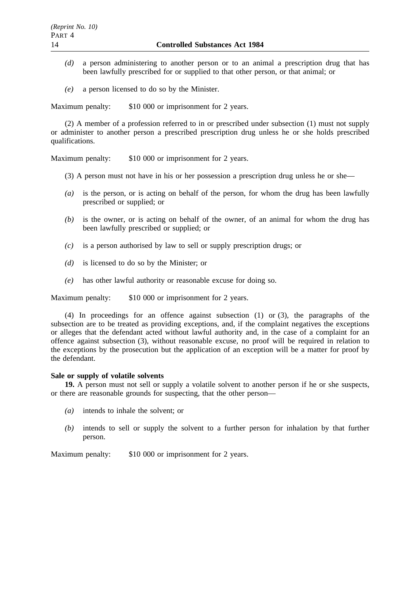- *(d)* a person administering to another person or to an animal a prescription drug that has been lawfully prescribed for or supplied to that other person, or that animal; or
- *(e)* a person licensed to do so by the Minister.

Maximum penalty: \$10 000 or imprisonment for 2 years.

(2) A member of a profession referred to in or prescribed under subsection (1) must not supply or administer to another person a prescribed prescription drug unless he or she holds prescribed qualifications.

Maximum penalty: \$10 000 or imprisonment for 2 years.

- (3) A person must not have in his or her possession a prescription drug unless he or she—
- *(a)* is the person, or is acting on behalf of the person, for whom the drug has been lawfully prescribed or supplied; or
- *(b)* is the owner, or is acting on behalf of the owner, of an animal for whom the drug has been lawfully prescribed or supplied; or
- *(c)* is a person authorised by law to sell or supply prescription drugs; or
- *(d)* is licensed to do so by the Minister; or
- *(e)* has other lawful authority or reasonable excuse for doing so.

Maximum penalty: \$10 000 or imprisonment for 2 years.

(4) In proceedings for an offence against subsection (1) or (3), the paragraphs of the subsection are to be treated as providing exceptions, and, if the complaint negatives the exceptions or alleges that the defendant acted without lawful authority and, in the case of a complaint for an offence against subsection (3), without reasonable excuse, no proof will be required in relation to the exceptions by the prosecution but the application of an exception will be a matter for proof by the defendant.

#### **Sale or supply of volatile solvents**

**19.** A person must not sell or supply a volatile solvent to another person if he or she suspects, or there are reasonable grounds for suspecting, that the other person—

- *(a)* intends to inhale the solvent; or
- *(b)* intends to sell or supply the solvent to a further person for inhalation by that further person.

Maximum penalty: \$10 000 or imprisonment for 2 years.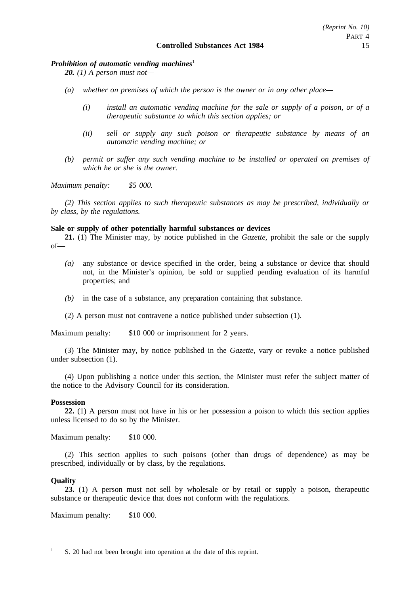## *Prohibition of automatic vending machines*<sup>1</sup>

*20. (1) A person must not—*

- *(a) whether on premises of which the person is the owner or in any other place—*
	- *(i) install an automatic vending machine for the sale or supply of a poison, or of a therapeutic substance to which this section applies; or*
	- *(ii) sell or supply any such poison or therapeutic substance by means of an automatic vending machine; or*
- *(b) permit or suffer any such vending machine to be installed or operated on premises of which he or she is the owner.*

*Maximum penalty: \$5 000.*

*(2) This section applies to such therapeutic substances as may be prescribed, individually or by class, by the regulations.*

## **Sale or supply of other potentially harmful substances or devices**

**21.** (1) The Minister may, by notice published in the *Gazette*, prohibit the sale or the supply of—

- *(a)* any substance or device specified in the order, being a substance or device that should not, in the Minister's opinion, be sold or supplied pending evaluation of its harmful properties; and
- *(b)* in the case of a substance, any preparation containing that substance.
- (2) A person must not contravene a notice published under subsection (1).

Maximum penalty: \$10 000 or imprisonment for 2 years.

(3) The Minister may, by notice published in the *Gazette*, vary or revoke a notice published under subsection (1).

(4) Upon publishing a notice under this section, the Minister must refer the subject matter of the notice to the Advisory Council for its consideration.

## **Possession**

**22.** (1) A person must not have in his or her possession a poison to which this section applies unless licensed to do so by the Minister.

Maximum penalty: \$10 000.

(2) This section applies to such poisons (other than drugs of dependence) as may be prescribed, individually or by class, by the regulations.

## **Quality**

**23.** (1) A person must not sell by wholesale or by retail or supply a poison, therapeutic substance or therapeutic device that does not conform with the regulations.

Maximum penalty: \$10 000.

<sup>1</sup> S. 20 had not been brought into operation at the date of this reprint.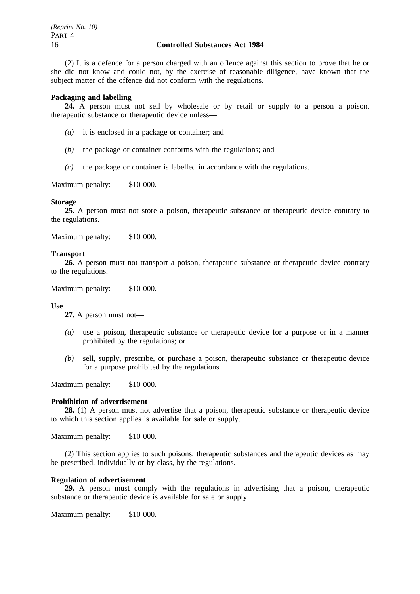(2) It is a defence for a person charged with an offence against this section to prove that he or she did not know and could not, by the exercise of reasonable diligence, have known that the subject matter of the offence did not conform with the regulations.

## **Packaging and labelling**

**24.** A person must not sell by wholesale or by retail or supply to a person a poison, therapeutic substance or therapeutic device unless—

- *(a)* it is enclosed in a package or container; and
- *(b)* the package or container conforms with the regulations; and
- *(c)* the package or container is labelled in accordance with the regulations.

Maximum penalty: \$10 000.

#### **Storage**

**25.** A person must not store a poison, therapeutic substance or therapeutic device contrary to the regulations.

Maximum penalty: \$10 000.

#### **Transport**

26. A person must not transport a poison, therapeutic substance or therapeutic device contrary to the regulations.

Maximum penalty: \$10 000.

#### **Use**

**27.** A person must not—

- *(a)* use a poison, therapeutic substance or therapeutic device for a purpose or in a manner prohibited by the regulations; or
- *(b)* sell, supply, prescribe, or purchase a poison, therapeutic substance or therapeutic device for a purpose prohibited by the regulations.

Maximum penalty: \$10 000.

#### **Prohibition of advertisement**

**28.** (1) A person must not advertise that a poison, therapeutic substance or therapeutic device to which this section applies is available for sale or supply.

Maximum penalty: \$10 000.

(2) This section applies to such poisons, therapeutic substances and therapeutic devices as may be prescribed, individually or by class, by the regulations.

#### **Regulation of advertisement**

**29.** A person must comply with the regulations in advertising that a poison, therapeutic substance or therapeutic device is available for sale or supply.

Maximum penalty: \$10 000.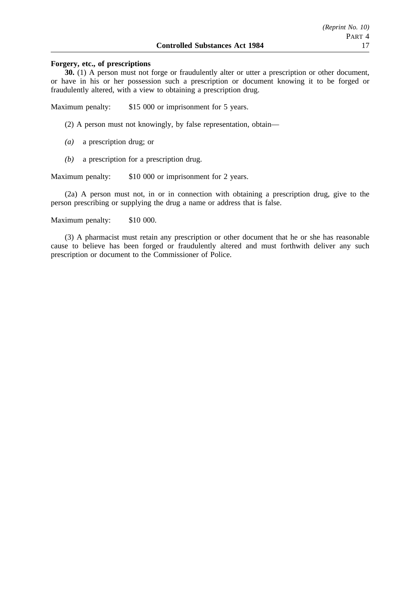## **Forgery, etc., of prescriptions**

**30.** (1) A person must not forge or fraudulently alter or utter a prescription or other document, or have in his or her possession such a prescription or document knowing it to be forged or fraudulently altered, with a view to obtaining a prescription drug.

Maximum penalty: \$15 000 or imprisonment for 5 years.

(2) A person must not knowingly, by false representation, obtain—

- *(a)* a prescription drug; or
- *(b)* a prescription for a prescription drug.

Maximum penalty: \$10 000 or imprisonment for 2 years.

(2a) A person must not, in or in connection with obtaining a prescription drug, give to the person prescribing or supplying the drug a name or address that is false.

Maximum penalty: \$10 000.

(3) A pharmacist must retain any prescription or other document that he or she has reasonable cause to believe has been forged or fraudulently altered and must forthwith deliver any such prescription or document to the Commissioner of Police.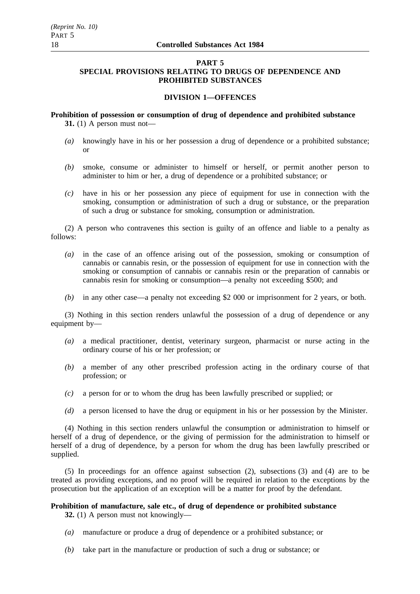## **PART 5 SPECIAL PROVISIONS RELATING TO DRUGS OF DEPENDENCE AND PROHIBITED SUBSTANCES**

## **DIVISION 1—OFFENCES**

**Prohibition of possession or consumption of drug of dependence and prohibited substance 31.** (1) A person must not—

- *(a)* knowingly have in his or her possession a drug of dependence or a prohibited substance; or
- *(b)* smoke, consume or administer to himself or herself, or permit another person to administer to him or her, a drug of dependence or a prohibited substance; or
- *(c)* have in his or her possession any piece of equipment for use in connection with the smoking, consumption or administration of such a drug or substance, or the preparation of such a drug or substance for smoking, consumption or administration.

(2) A person who contravenes this section is guilty of an offence and liable to a penalty as follows:

- *(a)* in the case of an offence arising out of the possession, smoking or consumption of cannabis or cannabis resin, or the possession of equipment for use in connection with the smoking or consumption of cannabis or cannabis resin or the preparation of cannabis or cannabis resin for smoking or consumption—a penalty not exceeding \$500; and
- *(b)* in any other case—a penalty not exceeding \$2 000 or imprisonment for 2 years, or both.

(3) Nothing in this section renders unlawful the possession of a drug of dependence or any equipment by—

- *(a)* a medical practitioner, dentist, veterinary surgeon, pharmacist or nurse acting in the ordinary course of his or her profession; or
- *(b)* a member of any other prescribed profession acting in the ordinary course of that profession; or
- *(c)* a person for or to whom the drug has been lawfully prescribed or supplied; or
- *(d)* a person licensed to have the drug or equipment in his or her possession by the Minister.

(4) Nothing in this section renders unlawful the consumption or administration to himself or herself of a drug of dependence, or the giving of permission for the administration to himself or herself of a drug of dependence, by a person for whom the drug has been lawfully prescribed or supplied.

(5) In proceedings for an offence against subsection (2), subsections (3) and (4) are to be treated as providing exceptions, and no proof will be required in relation to the exceptions by the prosecution but the application of an exception will be a matter for proof by the defendant.

# **Prohibition of manufacture, sale etc., of drug of dependence or prohibited substance**

**32.** (1) A person must not knowingly—

- *(a)* manufacture or produce a drug of dependence or a prohibited substance; or
- *(b)* take part in the manufacture or production of such a drug or substance; or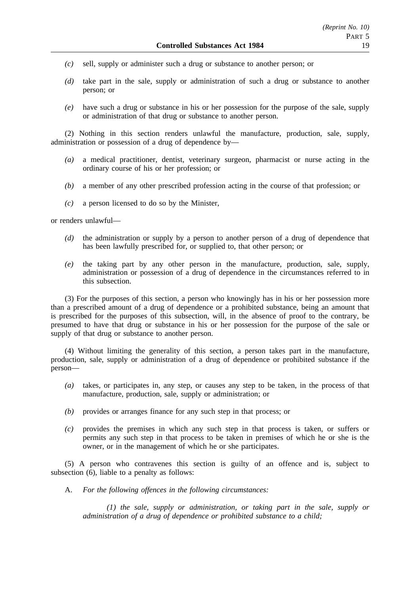- *(c)* sell, supply or administer such a drug or substance to another person; or
- *(d)* take part in the sale, supply or administration of such a drug or substance to another person; or
- *(e)* have such a drug or substance in his or her possession for the purpose of the sale, supply or administration of that drug or substance to another person.

(2) Nothing in this section renders unlawful the manufacture, production, sale, supply, administration or possession of a drug of dependence by—

- *(a)* a medical practitioner, dentist, veterinary surgeon, pharmacist or nurse acting in the ordinary course of his or her profession; or
- *(b)* a member of any other prescribed profession acting in the course of that profession; or
- *(c)* a person licensed to do so by the Minister,

or renders unlawful—

- *(d)* the administration or supply by a person to another person of a drug of dependence that has been lawfully prescribed for, or supplied to, that other person; or
- *(e)* the taking part by any other person in the manufacture, production, sale, supply, administration or possession of a drug of dependence in the circumstances referred to in this subsection.

(3) For the purposes of this section, a person who knowingly has in his or her possession more than a prescribed amount of a drug of dependence or a prohibited substance, being an amount that is prescribed for the purposes of this subsection, will, in the absence of proof to the contrary, be presumed to have that drug or substance in his or her possession for the purpose of the sale or supply of that drug or substance to another person.

(4) Without limiting the generality of this section, a person takes part in the manufacture, production, sale, supply or administration of a drug of dependence or prohibited substance if the person—

- *(a)* takes, or participates in, any step, or causes any step to be taken, in the process of that manufacture, production, sale, supply or administration; or
- *(b)* provides or arranges finance for any such step in that process; or
- *(c)* provides the premises in which any such step in that process is taken, or suffers or permits any such step in that process to be taken in premises of which he or she is the owner, or in the management of which he or she participates.

(5) A person who contravenes this section is guilty of an offence and is, subject to subsection (6), liable to a penalty as follows:

A. *For the following offences in the following circumstances:*

*(1) the sale, supply or administration, or taking part in the sale, supply or administration of a drug of dependence or prohibited substance to a child;*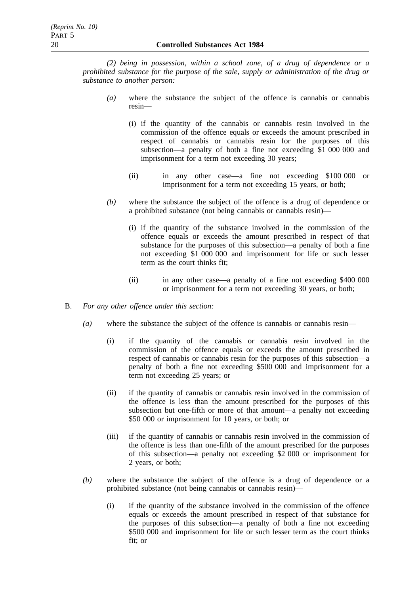*(2) being in possession, within a school zone, of a drug of dependence or a prohibited substance for the purpose of the sale, supply or administration of the drug or substance to another person:*

- *(a)* where the substance the subject of the offence is cannabis or cannabis resin—
	- (i) if the quantity of the cannabis or cannabis resin involved in the commission of the offence equals or exceeds the amount prescribed in respect of cannabis or cannabis resin for the purposes of this subsection—a penalty of both a fine not exceeding \$1 000 000 and imprisonment for a term not exceeding 30 years;
	- (ii) in any other case—a fine not exceeding \$100 000 or imprisonment for a term not exceeding 15 years, or both;
- *(b)* where the substance the subject of the offence is a drug of dependence or a prohibited substance (not being cannabis or cannabis resin)—
	- (i) if the quantity of the substance involved in the commission of the offence equals or exceeds the amount prescribed in respect of that substance for the purposes of this subsection—a penalty of both a fine not exceeding \$1 000 000 and imprisonment for life or such lesser term as the court thinks fit;
	- (ii) in any other case—a penalty of a fine not exceeding \$400 000 or imprisonment for a term not exceeding 30 years, or both;
- B. *For any other offence under this section:*
	- *(a)* where the substance the subject of the offence is cannabis or cannabis resin—
		- (i) if the quantity of the cannabis or cannabis resin involved in the commission of the offence equals or exceeds the amount prescribed in respect of cannabis or cannabis resin for the purposes of this subsection—a penalty of both a fine not exceeding \$500 000 and imprisonment for a term not exceeding 25 years; or
		- (ii) if the quantity of cannabis or cannabis resin involved in the commission of the offence is less than the amount prescribed for the purposes of this subsection but one-fifth or more of that amount—a penalty not exceeding \$50 000 or imprisonment for 10 years, or both; or
		- (iii) if the quantity of cannabis or cannabis resin involved in the commission of the offence is less than one-fifth of the amount prescribed for the purposes of this subsection—a penalty not exceeding \$2 000 or imprisonment for 2 years, or both;
	- *(b)* where the substance the subject of the offence is a drug of dependence or a prohibited substance (not being cannabis or cannabis resin)—
		- (i) if the quantity of the substance involved in the commission of the offence equals or exceeds the amount prescribed in respect of that substance for the purposes of this subsection—a penalty of both a fine not exceeding \$500 000 and imprisonment for life or such lesser term as the court thinks fit; or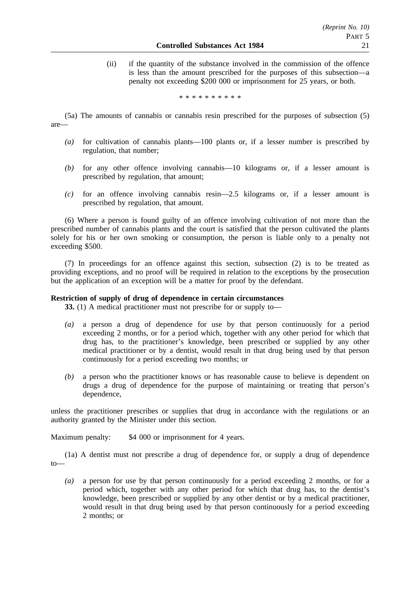(ii) if the quantity of the substance involved in the commission of the offence is less than the amount prescribed for the purposes of this subsection—a penalty not exceeding \$200 000 or imprisonment for 25 years, or both.

\*\*\*\*\*\*\*\*\*\*

- (5a) The amounts of cannabis or cannabis resin prescribed for the purposes of subsection (5) are—
	- *(a)* for cultivation of cannabis plants—100 plants or, if a lesser number is prescribed by regulation, that number;
	- *(b)* for any other offence involving cannabis—10 kilograms or, if a lesser amount is prescribed by regulation, that amount;
	- *(c)* for an offence involving cannabis resin—2.5 kilograms or, if a lesser amount is prescribed by regulation, that amount.

(6) Where a person is found guilty of an offence involving cultivation of not more than the prescribed number of cannabis plants and the court is satisfied that the person cultivated the plants solely for his or her own smoking or consumption, the person is liable only to a penalty not exceeding \$500.

(7) In proceedings for an offence against this section, subsection (2) is to be treated as providing exceptions, and no proof will be required in relation to the exceptions by the prosecution but the application of an exception will be a matter for proof by the defendant.

## **Restriction of supply of drug of dependence in certain circumstances**

**33.** (1) A medical practitioner must not prescribe for or supply to—

- *(a)* a person a drug of dependence for use by that person continuously for a period exceeding 2 months, or for a period which, together with any other period for which that drug has, to the practitioner's knowledge, been prescribed or supplied by any other medical practitioner or by a dentist, would result in that drug being used by that person continuously for a period exceeding two months; or
- *(b)* a person who the practitioner knows or has reasonable cause to believe is dependent on drugs a drug of dependence for the purpose of maintaining or treating that person's dependence,

unless the practitioner prescribes or supplies that drug in accordance with the regulations or an authority granted by the Minister under this section.

Maximum penalty: \$4,000 or imprisonment for 4 years.

(1a) A dentist must not prescribe a drug of dependence for, or supply a drug of dependence to—

*(a)* a person for use by that person continuously for a period exceeding 2 months, or for a period which, together with any other period for which that drug has, to the dentist's knowledge, been prescribed or supplied by any other dentist or by a medical practitioner, would result in that drug being used by that person continuously for a period exceeding 2 months; or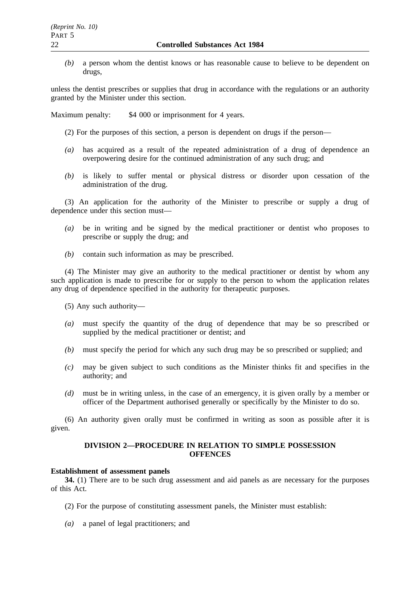*(b)* a person whom the dentist knows or has reasonable cause to believe to be dependent on drugs,

unless the dentist prescribes or supplies that drug in accordance with the regulations or an authority granted by the Minister under this section.

Maximum penalty: \$4 000 or imprisonment for 4 years.

- (2) For the purposes of this section, a person is dependent on drugs if the person—
- *(a)* has acquired as a result of the repeated administration of a drug of dependence an overpowering desire for the continued administration of any such drug; and
- *(b)* is likely to suffer mental or physical distress or disorder upon cessation of the administration of the drug.

(3) An application for the authority of the Minister to prescribe or supply a drug of dependence under this section must—

- *(a)* be in writing and be signed by the medical practitioner or dentist who proposes to prescribe or supply the drug; and
- *(b)* contain such information as may be prescribed.

(4) The Minister may give an authority to the medical practitioner or dentist by whom any such application is made to prescribe for or supply to the person to whom the application relates any drug of dependence specified in the authority for therapeutic purposes.

(5) Any such authority—

- *(a)* must specify the quantity of the drug of dependence that may be so prescribed or supplied by the medical practitioner or dentist; and
- *(b)* must specify the period for which any such drug may be so prescribed or supplied; and
- *(c)* may be given subject to such conditions as the Minister thinks fit and specifies in the authority; and
- *(d)* must be in writing unless, in the case of an emergency, it is given orally by a member or officer of the Department authorised generally or specifically by the Minister to do so.

(6) An authority given orally must be confirmed in writing as soon as possible after it is given.

## **DIVISION 2—PROCEDURE IN RELATION TO SIMPLE POSSESSION OFFENCES**

#### **Establishment of assessment panels**

**34.** (1) There are to be such drug assessment and aid panels as are necessary for the purposes of this Act.

- (2) For the purpose of constituting assessment panels, the Minister must establish:
- *(a)* a panel of legal practitioners; and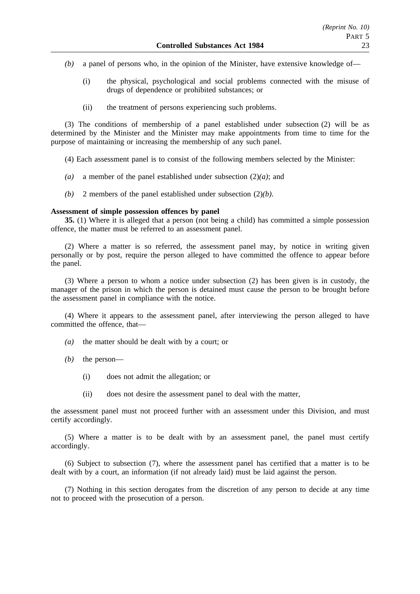- *(b)* a panel of persons who, in the opinion of the Minister, have extensive knowledge of—
	- (i) the physical, psychological and social problems connected with the misuse of drugs of dependence or prohibited substances; or
	- (ii) the treatment of persons experiencing such problems.

(3) The conditions of membership of a panel established under subsection (2) will be as determined by the Minister and the Minister may make appointments from time to time for the purpose of maintaining or increasing the membership of any such panel.

(4) Each assessment panel is to consist of the following members selected by the Minister:

- (a) a member of the panel established under subsection  $(2)(a)$ ; and
- *(b)* 2 members of the panel established under subsection (2)*(b)*.

## **Assessment of simple possession offences by panel**

**35.** (1) Where it is alleged that a person (not being a child) has committed a simple possession offence, the matter must be referred to an assessment panel.

(2) Where a matter is so referred, the assessment panel may, by notice in writing given personally or by post, require the person alleged to have committed the offence to appear before the panel.

(3) Where a person to whom a notice under subsection (2) has been given is in custody, the manager of the prison in which the person is detained must cause the person to be brought before the assessment panel in compliance with the notice.

(4) Where it appears to the assessment panel, after interviewing the person alleged to have committed the offence, that—

- *(a)* the matter should be dealt with by a court; or
- *(b)* the person—
	- (i) does not admit the allegation; or
	- (ii) does not desire the assessment panel to deal with the matter,

the assessment panel must not proceed further with an assessment under this Division, and must certify accordingly.

(5) Where a matter is to be dealt with by an assessment panel, the panel must certify accordingly.

(6) Subject to subsection (7), where the assessment panel has certified that a matter is to be dealt with by a court, an information (if not already laid) must be laid against the person.

(7) Nothing in this section derogates from the discretion of any person to decide at any time not to proceed with the prosecution of a person.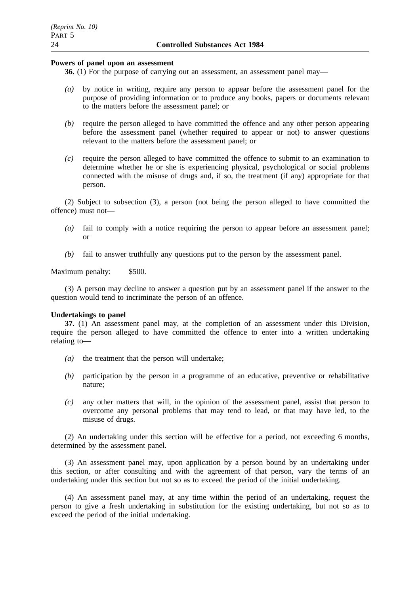## **Powers of panel upon an assessment**

**36.** (1) For the purpose of carrying out an assessment, an assessment panel may—

- *(a)* by notice in writing, require any person to appear before the assessment panel for the purpose of providing information or to produce any books, papers or documents relevant to the matters before the assessment panel; or
- *(b)* require the person alleged to have committed the offence and any other person appearing before the assessment panel (whether required to appear or not) to answer questions relevant to the matters before the assessment panel; or
- *(c)* require the person alleged to have committed the offence to submit to an examination to determine whether he or she is experiencing physical, psychological or social problems connected with the misuse of drugs and, if so, the treatment (if any) appropriate for that person.

(2) Subject to subsection (3), a person (not being the person alleged to have committed the offence) must not—

- *(a)* fail to comply with a notice requiring the person to appear before an assessment panel; or
- *(b)* fail to answer truthfully any questions put to the person by the assessment panel.

Maximum penalty: \$500.

(3) A person may decline to answer a question put by an assessment panel if the answer to the question would tend to incriminate the person of an offence.

#### **Undertakings to panel**

**37.** (1) An assessment panel may, at the completion of an assessment under this Division, require the person alleged to have committed the offence to enter into a written undertaking relating to—

- *(a)* the treatment that the person will undertake;
- *(b)* participation by the person in a programme of an educative, preventive or rehabilitative nature;
- *(c)* any other matters that will, in the opinion of the assessment panel, assist that person to overcome any personal problems that may tend to lead, or that may have led, to the misuse of drugs.

(2) An undertaking under this section will be effective for a period, not exceeding 6 months, determined by the assessment panel.

(3) An assessment panel may, upon application by a person bound by an undertaking under this section, or after consulting and with the agreement of that person, vary the terms of an undertaking under this section but not so as to exceed the period of the initial undertaking.

(4) An assessment panel may, at any time within the period of an undertaking, request the person to give a fresh undertaking in substitution for the existing undertaking, but not so as to exceed the period of the initial undertaking.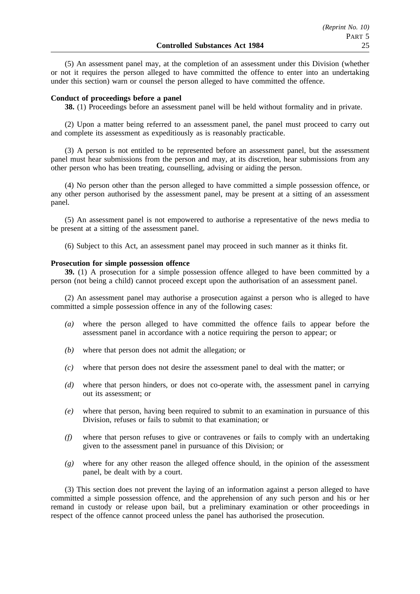(5) An assessment panel may, at the completion of an assessment under this Division (whether or not it requires the person alleged to have committed the offence to enter into an undertaking under this section) warn or counsel the person alleged to have committed the offence.

## **Conduct of proceedings before a panel**

**38.** (1) Proceedings before an assessment panel will be held without formality and in private.

(2) Upon a matter being referred to an assessment panel, the panel must proceed to carry out and complete its assessment as expeditiously as is reasonably practicable.

(3) A person is not entitled to be represented before an assessment panel, but the assessment panel must hear submissions from the person and may, at its discretion, hear submissions from any other person who has been treating, counselling, advising or aiding the person.

(4) No person other than the person alleged to have committed a simple possession offence, or any other person authorised by the assessment panel, may be present at a sitting of an assessment panel.

(5) An assessment panel is not empowered to authorise a representative of the news media to be present at a sitting of the assessment panel.

(6) Subject to this Act, an assessment panel may proceed in such manner as it thinks fit.

#### **Prosecution for simple possession offence**

**39.** (1) A prosecution for a simple possession offence alleged to have been committed by a person (not being a child) cannot proceed except upon the authorisation of an assessment panel.

(2) An assessment panel may authorise a prosecution against a person who is alleged to have committed a simple possession offence in any of the following cases:

- *(a)* where the person alleged to have committed the offence fails to appear before the assessment panel in accordance with a notice requiring the person to appear; or
- *(b)* where that person does not admit the allegation; or
- *(c)* where that person does not desire the assessment panel to deal with the matter; or
- *(d)* where that person hinders, or does not co-operate with, the assessment panel in carrying out its assessment; or
- *(e)* where that person, having been required to submit to an examination in pursuance of this Division, refuses or fails to submit to that examination; or
- *(f)* where that person refuses to give or contravenes or fails to comply with an undertaking given to the assessment panel in pursuance of this Division; or
- *(g)* where for any other reason the alleged offence should, in the opinion of the assessment panel, be dealt with by a court.

(3) This section does not prevent the laying of an information against a person alleged to have committed a simple possession offence, and the apprehension of any such person and his or her remand in custody or release upon bail, but a preliminary examination or other proceedings in respect of the offence cannot proceed unless the panel has authorised the prosecution.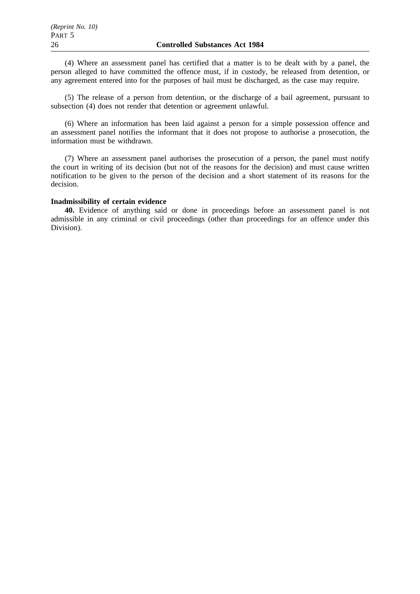(4) Where an assessment panel has certified that a matter is to be dealt with by a panel, the person alleged to have committed the offence must, if in custody, be released from detention, or any agreement entered into for the purposes of bail must be discharged, as the case may require.

(5) The release of a person from detention, or the discharge of a bail agreement, pursuant to subsection (4) does not render that detention or agreement unlawful.

(6) Where an information has been laid against a person for a simple possession offence and an assessment panel notifies the informant that it does not propose to authorise a prosecution, the information must be withdrawn.

(7) Where an assessment panel authorises the prosecution of a person, the panel must notify the court in writing of its decision (but not of the reasons for the decision) and must cause written notification to be given to the person of the decision and a short statement of its reasons for the decision.

#### **Inadmissibility of certain evidence**

**40.** Evidence of anything said or done in proceedings before an assessment panel is not admissible in any criminal or civil proceedings (other than proceedings for an offence under this Division).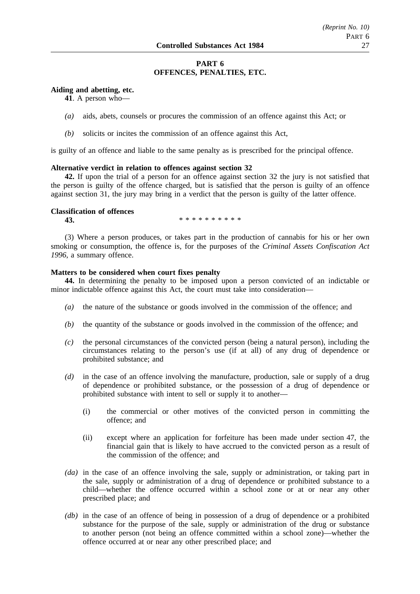## **PART 6 OFFENCES, PENALTIES, ETC.**

## **Aiding and abetting, etc.**

**41**. A person who—

- *(a)* aids, abets, counsels or procures the commission of an offence against this Act; or
- *(b)* solicits or incites the commission of an offence against this Act,

is guilty of an offence and liable to the same penalty as is prescribed for the principal offence.

## **Alternative verdict in relation to offences against section 32**

**42.** If upon the trial of a person for an offence against section 32 the jury is not satisfied that the person is guilty of the offence charged, but is satisfied that the person is guilty of an offence against section 31, the jury may bring in a verdict that the person is guilty of the latter offence.

## **Classification of offences**

**43.** \*\*\*\*\*\*\*\*\*\*\*

(3) Where a person produces, or takes part in the production of cannabis for his or her own smoking or consumption, the offence is, for the purposes of the *Criminal Assets Confiscation Act 1996*, a summary offence.

## **Matters to be considered when court fixes penalty**

**44.** In determining the penalty to be imposed upon a person convicted of an indictable or minor indictable offence against this Act, the court must take into consideration—

- *(a)* the nature of the substance or goods involved in the commission of the offence; and
- *(b)* the quantity of the substance or goods involved in the commission of the offence; and
- *(c)* the personal circumstances of the convicted person (being a natural person), including the circumstances relating to the person's use (if at all) of any drug of dependence or prohibited substance; and
- *(d)* in the case of an offence involving the manufacture, production, sale or supply of a drug of dependence or prohibited substance, or the possession of a drug of dependence or prohibited substance with intent to sell or supply it to another—
	- (i) the commercial or other motives of the convicted person in committing the offence; and
	- (ii) except where an application for forfeiture has been made under section 47, the financial gain that is likely to have accrued to the convicted person as a result of the commission of the offence; and
- *(da)* in the case of an offence involving the sale, supply or administration, or taking part in the sale, supply or administration of a drug of dependence or prohibited substance to a child—whether the offence occurred within a school zone or at or near any other prescribed place; and
- *(db)* in the case of an offence of being in possession of a drug of dependence or a prohibited substance for the purpose of the sale, supply or administration of the drug or substance to another person (not being an offence committed within a school zone)—whether the offence occurred at or near any other prescribed place; and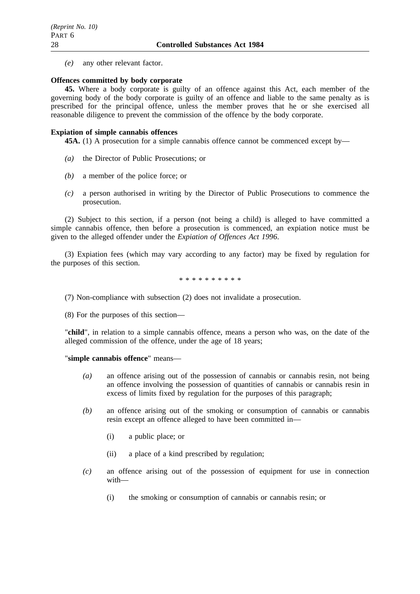*(e)* any other relevant factor.

# **Offences committed by body corporate**

**45.** Where a body corporate is guilty of an offence against this Act, each member of the governing body of the body corporate is guilty of an offence and liable to the same penalty as is prescribed for the principal offence, unless the member proves that he or she exercised all reasonable diligence to prevent the commission of the offence by the body corporate.

# **Expiation of simple cannabis offences**

**45A.** (1) A prosecution for a simple cannabis offence cannot be commenced except by—

- *(a)* the Director of Public Prosecutions; or
- *(b)* a member of the police force; or
- *(c)* a person authorised in writing by the Director of Public Prosecutions to commence the prosecution.

(2) Subject to this section, if a person (not being a child) is alleged to have committed a simple cannabis offence, then before a prosecution is commenced, an expiation notice must be given to the alleged offender under the *Expiation of Offences Act 1996*.

(3) Expiation fees (which may vary according to any factor) may be fixed by regulation for the purposes of this section.

\*\*\*\*\*\*\*\*\*\*

(7) Non-compliance with subsection (2) does not invalidate a prosecution.

(8) For the purposes of this section—

"**child**", in relation to a simple cannabis offence, means a person who was, on the date of the alleged commission of the offence, under the age of 18 years;

"**simple cannabis offence**" means—

- *(a)* an offence arising out of the possession of cannabis or cannabis resin, not being an offence involving the possession of quantities of cannabis or cannabis resin in excess of limits fixed by regulation for the purposes of this paragraph;
- *(b)* an offence arising out of the smoking or consumption of cannabis or cannabis resin except an offence alleged to have been committed in—
	- (i) a public place; or
	- (ii) a place of a kind prescribed by regulation;
- *(c)* an offence arising out of the possession of equipment for use in connection with—
	- (i) the smoking or consumption of cannabis or cannabis resin; or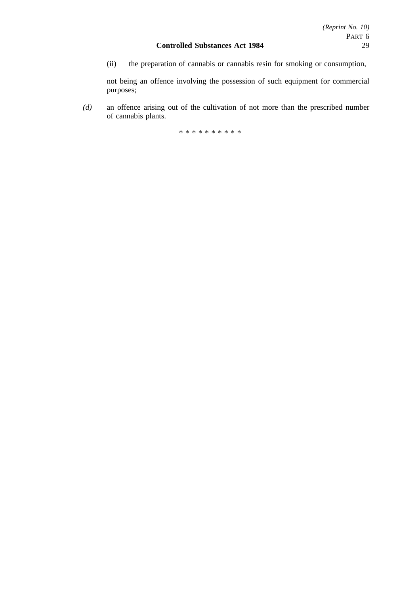(ii) the preparation of cannabis or cannabis resin for smoking or consumption,

not being an offence involving the possession of such equipment for commercial purposes;

*(d)* an offence arising out of the cultivation of not more than the prescribed number of cannabis plants.

\*\*\*\*\*\*\*\*\*\*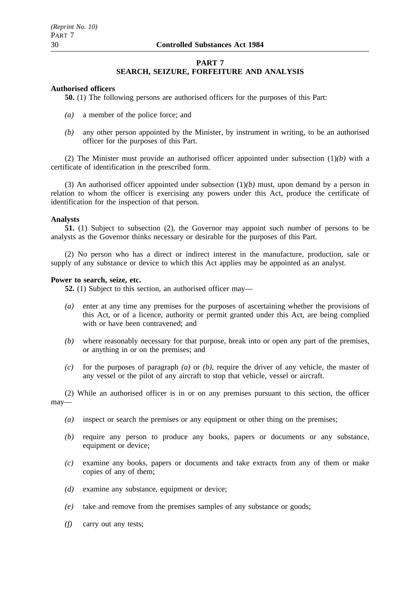## **PART 7 SEARCH, SEIZURE, FORFEITURE AND ANALYSIS**

## **Authorised officers**

**50.** (1) The following persons are authorised officers for the purposes of this Part:

- *(a)* a member of the police force; and
- *(b)* any other person appointed by the Minister, by instrument in writing, to be an authorised officer for the purposes of this Part.

(2) The Minister must provide an authorised officer appointed under subsection (1)*(b)* with a certificate of identification in the prescribed form.

(3) An authorised officer appointed under subsection (1)*(b)* must, upon demand by a person in relation to whom the officer is exercising any powers under this Act, produce the certificate of identification for the inspection of that person.

#### **Analysts**

**51.** (1) Subject to subsection (2), the Governor may appoint such number of persons to be analysts as the Governor thinks necessary or desirable for the purposes of this Part.

(2) No person who has a direct or indirect interest in the manufacture, production, sale or supply of any substance or device to which this Act applies may be appointed as an analyst.

#### **Power to search, seize, etc.**

**52.** (1) Subject to this section, an authorised officer may—

- *(a)* enter at any time any premises for the purposes of ascertaining whether the provisions of this Act, or of a licence, authority or permit granted under this Act, are being complied with or have been contravened; and
- *(b)* where reasonably necessary for that purpose, break into or open any part of the premises, or anything in or on the premises; and
- *(c)* for the purposes of paragraph *(a)* or *(b)*, require the driver of any vehicle, the master of any vessel or the pilot of any aircraft to stop that vehicle, vessel or aircraft.

(2) While an authorised officer is in or on any premises pursuant to this section, the officer may—

- *(a)* inspect or search the premises or any equipment or other thing on the premises;
- *(b)* require any person to produce any books, papers or documents or any substance, equipment or device;
- *(c)* examine any books, papers or documents and take extracts from any of them or make copies of any of them;
- *(d)* examine any substance, equipment or device;
- *(e)* take and remove from the premises samples of any substance or goods;
- *(f)* carry out any tests;

*(Reprint No. 10)*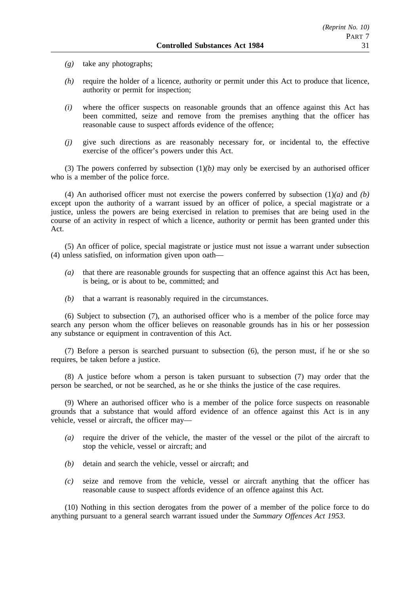- *(g)* take any photographs;
- *(h)* require the holder of a licence, authority or permit under this Act to produce that licence, authority or permit for inspection;
- *(i)* where the officer suspects on reasonable grounds that an offence against this Act has been committed, seize and remove from the premises anything that the officer has reasonable cause to suspect affords evidence of the offence;
- *(j)* give such directions as are reasonably necessary for, or incidental to, the effective exercise of the officer's powers under this Act.

(3) The powers conferred by subsection (1)*(b)* may only be exercised by an authorised officer who is a member of the police force.

(4) An authorised officer must not exercise the powers conferred by subsection (1)*(a)* and *(b)* except upon the authority of a warrant issued by an officer of police, a special magistrate or a justice, unless the powers are being exercised in relation to premises that are being used in the course of an activity in respect of which a licence, authority or permit has been granted under this Act.

(5) An officer of police, special magistrate or justice must not issue a warrant under subsection (4) unless satisfied, on information given upon oath—

- *(a)* that there are reasonable grounds for suspecting that an offence against this Act has been, is being, or is about to be, committed; and
- *(b)* that a warrant is reasonably required in the circumstances.

(6) Subject to subsection (7), an authorised officer who is a member of the police force may search any person whom the officer believes on reasonable grounds has in his or her possession any substance or equipment in contravention of this Act.

(7) Before a person is searched pursuant to subsection (6), the person must, if he or she so requires, be taken before a justice.

(8) A justice before whom a person is taken pursuant to subsection (7) may order that the person be searched, or not be searched, as he or she thinks the justice of the case requires.

(9) Where an authorised officer who is a member of the police force suspects on reasonable grounds that a substance that would afford evidence of an offence against this Act is in any vehicle, vessel or aircraft, the officer may—

- *(a)* require the driver of the vehicle, the master of the vessel or the pilot of the aircraft to stop the vehicle, vessel or aircraft; and
- *(b)* detain and search the vehicle, vessel or aircraft; and
- *(c)* seize and remove from the vehicle, vessel or aircraft anything that the officer has reasonable cause to suspect affords evidence of an offence against this Act.

(10) Nothing in this section derogates from the power of a member of the police force to do anything pursuant to a general search warrant issued under the *Summary Offences Act 1953*.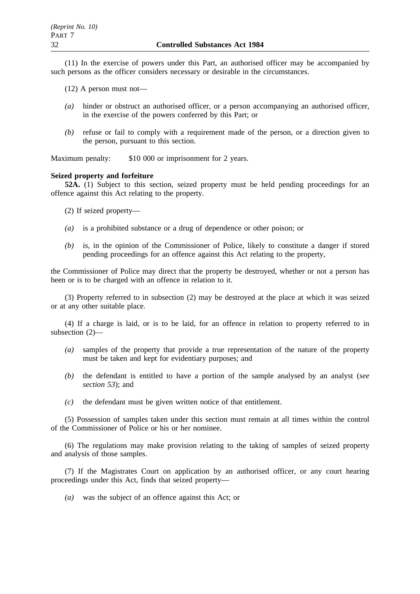(11) In the exercise of powers under this Part, an authorised officer may be accompanied by such persons as the officer considers necessary or desirable in the circumstances.

- (12) A person must not—
- *(a)* hinder or obstruct an authorised officer, or a person accompanying an authorised officer, in the exercise of the powers conferred by this Part; or
- *(b)* refuse or fail to comply with a requirement made of the person, or a direction given to the person, pursuant to this section.

Maximum penalty: \$10 000 or imprisonment for 2 years.

## **Seized property and forfeiture**

**52A.** (1) Subject to this section, seized property must be held pending proceedings for an offence against this Act relating to the property.

- (2) If seized property—
- *(a)* is a prohibited substance or a drug of dependence or other poison; or
- *(b)* is, in the opinion of the Commissioner of Police, likely to constitute a danger if stored pending proceedings for an offence against this Act relating to the property,

the Commissioner of Police may direct that the property be destroyed, whether or not a person has been or is to be charged with an offence in relation to it.

(3) Property referred to in subsection (2) may be destroyed at the place at which it was seized or at any other suitable place.

(4) If a charge is laid, or is to be laid, for an offence in relation to property referred to in subsection (2)—

- *(a)* samples of the property that provide a true representation of the nature of the property must be taken and kept for evidentiary purposes; and
- *(b)* the defendant is entitled to have a portion of the sample analysed by an analyst (*see section 53*); and
- *(c)* the defendant must be given written notice of that entitlement.

(5) Possession of samples taken under this section must remain at all times within the control of the Commissioner of Police or his or her nominee.

(6) The regulations may make provision relating to the taking of samples of seized property and analysis of those samples.

(7) If the Magistrates Court on application by an authorised officer, or any court hearing proceedings under this Act, finds that seized property—

*(a)* was the subject of an offence against this Act; or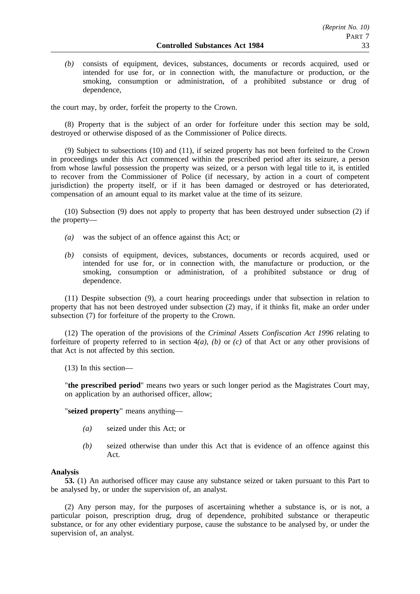*(b)* consists of equipment, devices, substances, documents or records acquired, used or intended for use for, or in connection with, the manufacture or production, or the smoking, consumption or administration, of a prohibited substance or drug of dependence,

the court may, by order, forfeit the property to the Crown.

(8) Property that is the subject of an order for forfeiture under this section may be sold, destroyed or otherwise disposed of as the Commissioner of Police directs.

(9) Subject to subsections (10) and (11), if seized property has not been forfeited to the Crown in proceedings under this Act commenced within the prescribed period after its seizure, a person from whose lawful possession the property was seized, or a person with legal title to it, is entitled to recover from the Commissioner of Police (if necessary, by action in a court of competent jurisdiction) the property itself, or if it has been damaged or destroyed or has deteriorated, compensation of an amount equal to its market value at the time of its seizure.

(10) Subsection (9) does not apply to property that has been destroyed under subsection (2) if the property—

- *(a)* was the subject of an offence against this Act; or
- *(b)* consists of equipment, devices, substances, documents or records acquired, used or intended for use for, or in connection with, the manufacture or production, or the smoking, consumption or administration, of a prohibited substance or drug of dependence.

(11) Despite subsection (9), a court hearing proceedings under that subsection in relation to property that has not been destroyed under subsection (2) may, if it thinks fit, make an order under subsection (7) for forfeiture of the property to the Crown.

(12) The operation of the provisions of the *Criminal Assets Confiscation Act 1996* relating to forfeiture of property referred to in section 4*(a)*, *(b)* or *(c)* of that Act or any other provisions of that Act is not affected by this section.

(13) In this section—

"**the prescribed period**" means two years or such longer period as the Magistrates Court may, on application by an authorised officer, allow;

"**seized property**" means anything—

- *(a)* seized under this Act; or
- *(b)* seized otherwise than under this Act that is evidence of an offence against this Act.

## **Analysis**

**53.** (1) An authorised officer may cause any substance seized or taken pursuant to this Part to be analysed by, or under the supervision of, an analyst.

(2) Any person may, for the purposes of ascertaining whether a substance is, or is not, a particular poison, prescription drug, drug of dependence, prohibited substance or therapeutic substance, or for any other evidentiary purpose, cause the substance to be analysed by, or under the supervision of, an analyst.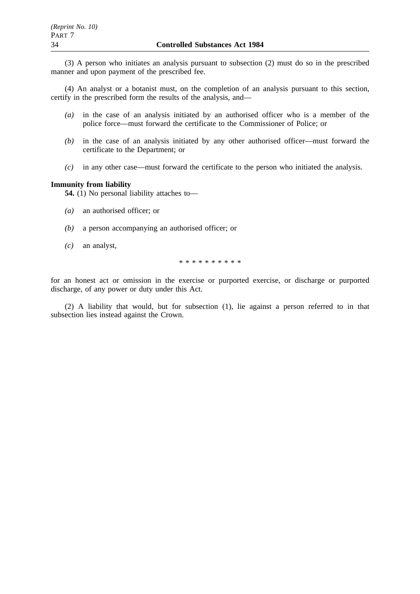(3) A person who initiates an analysis pursuant to subsection (2) must do so in the prescribed manner and upon payment of the prescribed fee.

(4) An analyst or a botanist must, on the completion of an analysis pursuant to this section, certify in the prescribed form the results of the analysis, and—

- *(a)* in the case of an analysis initiated by an authorised officer who is a member of the police force—must forward the certificate to the Commissioner of Police; or
- *(b)* in the case of an analysis initiated by any other authorised officer—must forward the certificate to the Department; or
- *(c)* in any other case—must forward the certificate to the person who initiated the analysis.

## **Immunity from liability**

**54.** (1) No personal liability attaches to—

- *(a)* an authorised officer; or
- *(b)* a person accompanying an authorised officer; or
- *(c)* an analyst,

\*\*\*\*\*\*\*\*\*\*

for an honest act or omission in the exercise or purported exercise, or discharge or purported discharge, of any power or duty under this Act.

(2) A liability that would, but for subsection (1), lie against a person referred to in that subsection lies instead against the Crown.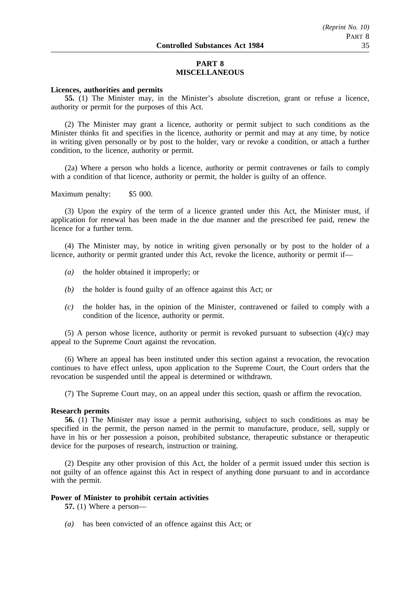## **PART 8 MISCELLANEOUS**

#### **Licences, authorities and permits**

**55.** (1) The Minister may, in the Minister's absolute discretion, grant or refuse a licence, authority or permit for the purposes of this Act.

(2) The Minister may grant a licence, authority or permit subject to such conditions as the Minister thinks fit and specifies in the licence, authority or permit and may at any time, by notice in writing given personally or by post to the holder, vary or revoke a condition, or attach a further condition, to the licence, authority or permit.

(2a) Where a person who holds a licence, authority or permit contravenes or fails to comply with a condition of that licence, authority or permit, the holder is guilty of an offence.

Maximum penalty: \$5 000.

(3) Upon the expiry of the term of a licence granted under this Act, the Minister must, if application for renewal has been made in the due manner and the prescribed fee paid, renew the licence for a further term.

(4) The Minister may, by notice in writing given personally or by post to the holder of a licence, authority or permit granted under this Act, revoke the licence, authority or permit if—

- *(a)* the holder obtained it improperly; or
- *(b)* the holder is found guilty of an offence against this Act; or
- *(c)* the holder has, in the opinion of the Minister, contravened or failed to comply with a condition of the licence, authority or permit.

(5) A person whose licence, authority or permit is revoked pursuant to subsection  $(4)(c)$  may appeal to the Supreme Court against the revocation.

(6) Where an appeal has been instituted under this section against a revocation, the revocation continues to have effect unless, upon application to the Supreme Court, the Court orders that the revocation be suspended until the appeal is determined or withdrawn.

(7) The Supreme Court may, on an appeal under this section, quash or affirm the revocation.

#### **Research permits**

**56.** (1) The Minister may issue a permit authorising, subject to such conditions as may be specified in the permit, the person named in the permit to manufacture, produce, sell, supply or have in his or her possession a poison, prohibited substance, therapeutic substance or therapeutic device for the purposes of research, instruction or training.

(2) Despite any other provision of this Act, the holder of a permit issued under this section is not guilty of an offence against this Act in respect of anything done pursuant to and in accordance with the permit.

## **Power of Minister to prohibit certain activities**

**57.** (1) Where a person—

*(a)* has been convicted of an offence against this Act; or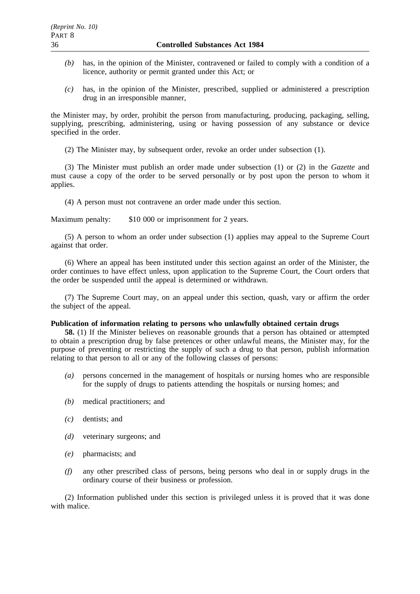- *(b)* has, in the opinion of the Minister, contravened or failed to comply with a condition of a licence, authority or permit granted under this Act; or
- *(c)* has, in the opinion of the Minister, prescribed, supplied or administered a prescription drug in an irresponsible manner,

the Minister may, by order, prohibit the person from manufacturing, producing, packaging, selling, supplying, prescribing, administering, using or having possession of any substance or device specified in the order.

(2) The Minister may, by subsequent order, revoke an order under subsection (1).

(3) The Minister must publish an order made under subsection (1) or (2) in the *Gazette* and must cause a copy of the order to be served personally or by post upon the person to whom it applies.

(4) A person must not contravene an order made under this section.

Maximum penalty: \$10 000 or imprisonment for 2 years.

(5) A person to whom an order under subsection (1) applies may appeal to the Supreme Court against that order.

(6) Where an appeal has been instituted under this section against an order of the Minister, the order continues to have effect unless, upon application to the Supreme Court, the Court orders that the order be suspended until the appeal is determined or withdrawn.

(7) The Supreme Court may, on an appeal under this section, quash, vary or affirm the order the subject of the appeal.

## **Publication of information relating to persons who unlawfully obtained certain drugs**

**58.** (1) If the Minister believes on reasonable grounds that a person has obtained or attempted to obtain a prescription drug by false pretences or other unlawful means, the Minister may, for the purpose of preventing or restricting the supply of such a drug to that person, publish information relating to that person to all or any of the following classes of persons:

- *(a)* persons concerned in the management of hospitals or nursing homes who are responsible for the supply of drugs to patients attending the hospitals or nursing homes; and
- *(b)* medical practitioners; and
- *(c)* dentists; and
- *(d)* veterinary surgeons; and
- *(e)* pharmacists; and
- *(f)* any other prescribed class of persons, being persons who deal in or supply drugs in the ordinary course of their business or profession.

(2) Information published under this section is privileged unless it is proved that it was done with malice.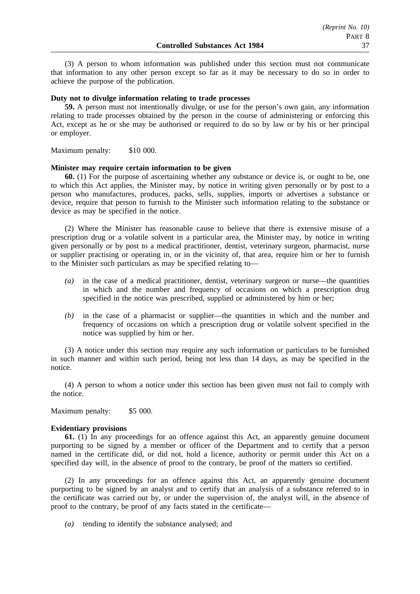(3) A person to whom information was published under this section must not communicate that information to any other person except so far as it may be necessary to do so in order to achieve the purpose of the publication.

## **Duty not to divulge information relating to trade processes**

**59.** A person must not intentionally divulge, or use for the person's own gain, any information relating to trade processes obtained by the person in the course of administering or enforcing this Act, except as he or she may be authorised or required to do so by law or by his or her principal or employer.

Maximum penalty: \$10 000.

#### **Minister may require certain information to be given**

**60.** (1) For the purpose of ascertaining whether any substance or device is, or ought to be, one to which this Act applies, the Minister may, by notice in writing given personally or by post to a person who manufactures, produces, packs, sells, supplies, imports or advertises a substance or device, require that person to furnish to the Minister such information relating to the substance or device as may be specified in the notice.

(2) Where the Minister has reasonable cause to believe that there is extensive misuse of a prescription drug or a volatile solvent in a particular area, the Minister may, by notice in writing given personally or by post to a medical practitioner, dentist, veterinary surgeon, pharmacist, nurse or supplier practising or operating in, or in the vicinity of, that area, require him or her to furnish to the Minister such particulars as may be specified relating to—

- *(a)* in the case of a medical practitioner, dentist, veterinary surgeon or nurse—the quantities in which and the number and frequency of occasions on which a prescription drug specified in the notice was prescribed, supplied or administered by him or her;
- *(b)* in the case of a pharmacist or supplier—the quantities in which and the number and frequency of occasions on which a prescription drug or volatile solvent specified in the notice was supplied by him or her.

(3) A notice under this section may require any such information or particulars to be furnished in such manner and within such period, being not less than 14 days, as may be specified in the notice.

(4) A person to whom a notice under this section has been given must not fail to comply with the notice.

Maximum penalty: \$5 000.

#### **Evidentiary provisions**

**61.** (1) In any proceedings for an offence against this Act, an apparently genuine document purporting to be signed by a member or officer of the Department and to certify that a person named in the certificate did, or did not, hold a licence, authority or permit under this Act on a specified day will, in the absence of proof to the contrary, be proof of the matters so certified.

(2) In any proceedings for an offence against this Act, an apparently genuine document purporting to be signed by an analyst and to certify that an analysis of a substance referred to in the certificate was carried out by, or under the supervision of, the analyst will, in the absence of proof to the contrary, be proof of any facts stated in the certificate—

*(a)* tending to identify the substance analysed; and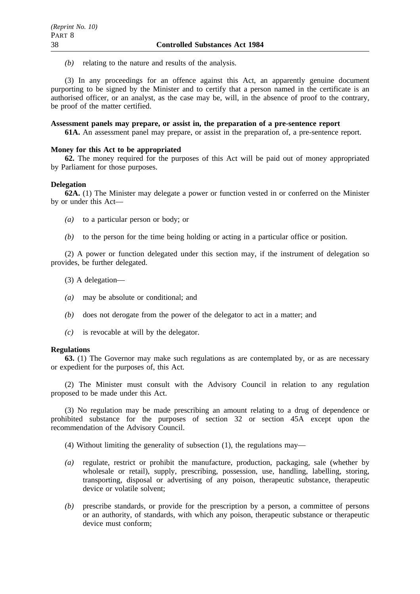*(b)* relating to the nature and results of the analysis.

(3) In any proceedings for an offence against this Act, an apparently genuine document purporting to be signed by the Minister and to certify that a person named in the certificate is an authorised officer, or an analyst, as the case may be, will, in the absence of proof to the contrary, be proof of the matter certified.

# **Assessment panels may prepare, or assist in, the preparation of a pre-sentence report**

**61A.** An assessment panel may prepare, or assist in the preparation of, a pre-sentence report.

## **Money for this Act to be appropriated**

**62.** The money required for the purposes of this Act will be paid out of money appropriated by Parliament for those purposes.

# **Delegation**

**62A.** (1) The Minister may delegate a power or function vested in or conferred on the Minister by or under this Act—

- *(a)* to a particular person or body; or
- *(b)* to the person for the time being holding or acting in a particular office or position.

(2) A power or function delegated under this section may, if the instrument of delegation so provides, be further delegated.

- (3) A delegation—
- *(a)* may be absolute or conditional; and
- *(b)* does not derogate from the power of the delegator to act in a matter; and
- *(c)* is revocable at will by the delegator.

## **Regulations**

**63.** (1) The Governor may make such regulations as are contemplated by, or as are necessary or expedient for the purposes of, this Act.

(2) The Minister must consult with the Advisory Council in relation to any regulation proposed to be made under this Act.

(3) No regulation may be made prescribing an amount relating to a drug of dependence or prohibited substance for the purposes of section 32 or section 45A except upon the recommendation of the Advisory Council.

(4) Without limiting the generality of subsection (1), the regulations may—

- *(a)* regulate, restrict or prohibit the manufacture, production, packaging, sale (whether by wholesale or retail), supply, prescribing, possession, use, handling, labelling, storing, transporting, disposal or advertising of any poison, therapeutic substance, therapeutic device or volatile solvent;
- *(b)* prescribe standards, or provide for the prescription by a person, a committee of persons or an authority, of standards, with which any poison, therapeutic substance or therapeutic device must conform;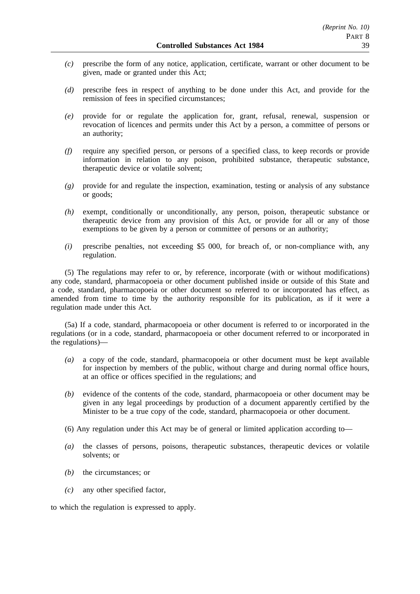- *(c)* prescribe the form of any notice, application, certificate, warrant or other document to be given, made or granted under this Act;
- *(d)* prescribe fees in respect of anything to be done under this Act, and provide for the remission of fees in specified circumstances;
- *(e)* provide for or regulate the application for, grant, refusal, renewal, suspension or revocation of licences and permits under this Act by a person, a committee of persons or an authority;
- *(f)* require any specified person, or persons of a specified class, to keep records or provide information in relation to any poison, prohibited substance, therapeutic substance, therapeutic device or volatile solvent;
- *(g)* provide for and regulate the inspection, examination, testing or analysis of any substance or goods;
- *(h)* exempt, conditionally or unconditionally, any person, poison, therapeutic substance or therapeutic device from any provision of this Act, or provide for all or any of those exemptions to be given by a person or committee of persons or an authority;
- *(i)* prescribe penalties, not exceeding \$5 000, for breach of, or non-compliance with, any regulation.

(5) The regulations may refer to or, by reference, incorporate (with or without modifications) any code, standard, pharmacopoeia or other document published inside or outside of this State and a code, standard, pharmacopoeia or other document so referred to or incorporated has effect, as amended from time to time by the authority responsible for its publication, as if it were a regulation made under this Act.

(5a) If a code, standard, pharmacopoeia or other document is referred to or incorporated in the regulations (or in a code, standard, pharmacopoeia or other document referred to or incorporated in the regulations)—

- *(a)* a copy of the code, standard, pharmacopoeia or other document must be kept available for inspection by members of the public, without charge and during normal office hours, at an office or offices specified in the regulations; and
- *(b)* evidence of the contents of the code, standard, pharmacopoeia or other document may be given in any legal proceedings by production of a document apparently certified by the Minister to be a true copy of the code, standard, pharmacopoeia or other document.
- (6) Any regulation under this Act may be of general or limited application according to—
- *(a)* the classes of persons, poisons, therapeutic substances, therapeutic devices or volatile solvents; or
- *(b)* the circumstances; or
- *(c)* any other specified factor,

to which the regulation is expressed to apply.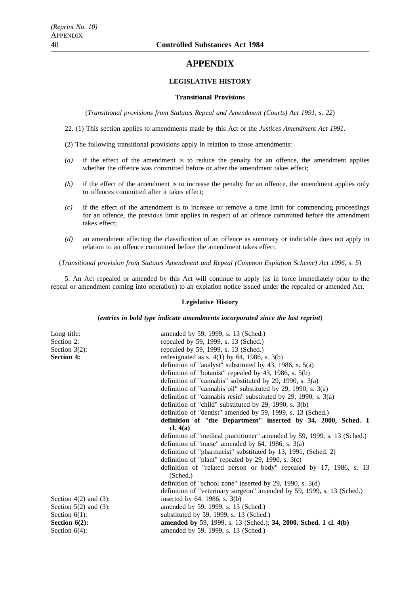## **APPENDIX**

#### **LEGISLATIVE HISTORY**

#### **Transitional Provisions**

(*Transitional provisions from Statutes Repeal and Amendment (Courts) Act 1991, s. 22*)

22. (1) This section applies to amendments made by this Act or the *Justices Amendment Act 1991*.

(2) The following transitional provisions apply in relation to those amendments:

- *(a)* if the effect of the amendment is to reduce the penalty for an offence, the amendment applies whether the offence was committed before or after the amendment takes effect;
- *(b)* if the effect of the amendment is to increase the penalty for an offence, the amendment applies only to offences committed after it takes effect;
- *(c)* if the effect of the amendment is to increase or remove a time limit for commencing proceedings for an offence, the previous limit applies in respect of an offence committed before the amendment takes effect;
- *(d)* an amendment affecting the classification of an offence as summary or indictable does not apply in relation to an offence committed before the amendment takes effect.

(*Transitional provision from Statutes Amendment and Repeal (Common Expiation Scheme) Act 1996, s. 5*)

5. An Act repealed or amended by this Act will continue to apply (as in force immediately prior to the repeal or amendment coming into operation) to an expiation notice issued under the repealed or amended Act.

#### **Legislative History**

(*entries in bold type indicate amendments incorporated since the last reprint*)

| Long title:                | amended by 59, 1999, s. 13 (Sched.)                                            |
|----------------------------|--------------------------------------------------------------------------------|
| Section 2:                 | repealed by 59, 1999, s. 13 (Sched.)                                           |
| Section $3(2)$ :           | repealed by 59, 1999, s. 13 (Sched.)                                           |
| <b>Section 4:</b>          | redesignated as s. $4(1)$ by 64, 1986, s. $3(b)$                               |
|                            | definition of "analyst" substituted by 43, 1986, s. $5(a)$                     |
|                            | definition of "botanist" repealed by $43$ , 1986, s. $5(b)$                    |
|                            | definition of "cannabis" substituted by 29, 1990, s. $3(a)$                    |
|                            | definition of "cannabis oil" substituted by 29, 1990, s. $3(a)$                |
|                            | definition of "cannabis resin" substituted by 29, 1990, s. $3(a)$              |
|                            | definition of "child" substituted by 29, 1990, s. $3(b)$                       |
|                            | definition of "dentist" amended by 59, 1999, s. 13 (Sched.)                    |
|                            | definition of "the Department" inserted by 34, 2000, Sched. 1                  |
|                            | cl. $4(a)$                                                                     |
|                            | definition of "medical practitioner" amended by 59, 1999, s. 13 (Sched.)       |
|                            | definition of "nurse" amended by $64$ , 1986, s. $3(a)$                        |
|                            | definition of "pharmacist" substituted by 13, 1991, (Sched. 2)                 |
|                            | definition of "plant" repealed by 29, 1990, s. $3(c)$                          |
|                            | definition of "related person or body" repealed by 17, 1986, s. 13<br>(Sched.) |
|                            | definition of "school zone" inserted by 29, 1990, s. 3(d)                      |
|                            | definition of "veterinary surgeon" amended by 59, 1999, s. 13 (Sched.)         |
| Section $4(2)$ and $(3)$ : | inserted by $64$ , 1986, s. $3(b)$                                             |
| Section $5(2)$ and $(3)$ : | amended by 59, 1999, s. 13 (Sched.)                                            |
| Section $6(1)$ :           | substituted by 59, 1999, s. 13 (Sched.)                                        |
| Section $6(2)$ :           | amended by 59, 1999, s. 13 (Sched.); 34, 2000, Sched. 1 cl. 4(b)               |
| Section $6(4)$ :           | amended by 59, 1999, s. 13 (Sched.)                                            |
|                            |                                                                                |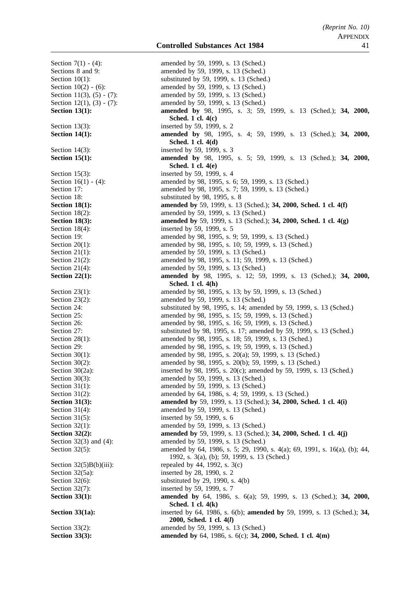Section 7(1) - (4): amended by 59, 1999, s. 13 (Sched.)

Sections 8 and 9: amended by 59, 1999, s. 13 (Sched.) Section 10(1): substituted by 59, 1999, s. 13 (Sched.) Section 10(2) - (6): amended by 59, 1999, s. 13 (Sched.) Section 11(3), (5) - (7): amended by 59, 1999, s. 13 (Sched.) Section 12(1), (3) - (7): amended by 59, 1999, s. 13 (Sched.) **Section 13(1): amended by** 98, 1995, s. 3; 59, 1999, s. 13 (Sched.); **34, 2000, Sched. 1 cl. 4(c)** Section 13(3): inserted by 59, 1999, s. 2 **Section 14(1): amended by** 98, 1995, s. 4; 59, 1999, s. 13 (Sched.); **34, 2000, Sched. 1 cl. 4(d)** Section 14(3): inserted by 59, 1999, s. 3 **Section 15(1): amended by** 98, 1995, s. 5; 59, 1999, s. 13 (Sched.); **34, 2000, Sched. 1 cl. 4(e)** Section 15(3): inserted by 59, 1999, s. 4 Section 16(1) - (4): amended by 98, 1995, s. 6; 59, 1999, s. 13 (Sched.) Section 17: **amended** by 98, 1995, s. 7; 59, 1999, s. 13 (Sched.) Section 18: substituted by 98, 1995, s. 8 **Section 18(1): amended by** 59, 1999, s. 13 (Sched.); **34, 2000, Sched. 1 cl. 4(f)** Section 18(2): amended by 59, 1999, s. 13 (Sched.) **Section 18(3): amended by** 59, 1999, s. 13 (Sched.); **34, 2000, Sched. 1 cl. 4(g)** Section 18(4): inserted by 59, 1999, s. 5 Section 19: amended by 98, 1995, s. 9; 59, 1999, s. 13 (Sched.) Section 20(1): amended by 98, 1995, s. 10; 59, 1999, s. 13 (Sched.) Section 21(1): amended by 59, 1999, s. 13 (Sched.) Section 21(2): amended by 98, 1995, s. 11; 59, 1999, s. 13 (Sched.) Section 21(4): amended by 59, 1999, s. 13 (Sched.) **Section 22(1): amended by** 98, 1995, s. 12; 59, 1999, s. 13 (Sched.); **34, 2000, Sched. 1 cl. 4(h)** Section 23(1): amended by 98, 1995, s. 13; by 59, 1999, s. 13 (Sched.) Section 23(2): amended by 59, 1999, s. 13 (Sched.) Section 24: substituted by 98, 1995, s. 14; amended by 59, 1999, s. 13 (Sched.) Section 25: **amended** by 98, 1995, s. 15; 59, 1999, s. 13 (Sched.) Section 26: **amended** by 98, 1995, s. 16; 59, 1999, s. 13 (Sched.) Section 27: substituted by 98, 1995, s. 17; amended by 59, 1999, s. 13 (Sched.)<br>Section 28(1): amended by 98, 1995, s. 18; 59, 1999, s. 13 (Sched.) amended by 98, 1995, s. 18; 59, 1999, s. 13 (Sched.) Section 29: **amended** by 98, 1995, s. 19; 59, 1999, s. 13 (Sched.) Section 30(1): amended by 98, 1995, s. 20(a); 59, 1999, s. 13 (Sched.) Section 30(2): amended by 98, 1995, s. 20(b); 59, 1999, s. 13 (Sched.) Section 30(2a): inserted by 98, 1995, s. 20(c); amended by 59, 1999, s. 13 (Sched.) Section 30(3): amended by 59, 1999, s. 13 (Sched.) Section 31(1): amended by 59, 1999, s. 13 (Sched.) Section 31(2): amended by 64, 1986, s. 4; 59, 1999, s. 13 (Sched.) **Section 31(3): amended by** 59, 1999, s. 13 (Sched.); **34, 2000, Sched. 1 cl. 4(i)** Section 31(4): amended by 59, 1999, s. 13 (Sched.) Section 31(5): inserted by 59, 1999, s. 6 Section 32(1): amended by 59, 1999, s. 13 (Sched.) **Section 32(2): amended by** 59, 1999, s. 13 (Sched.); **34, 2000, Sched. 1 cl. 4(j)** Section 32(3) and (4): amended by 59, 1999, s. 13 (Sched.) Section 32(5): amended by 64, 1986, s. 5; 29, 1990, s. 4(a); 69, 1991, s. 16(a), (b); 44, 1992, s. 3(a), (b); 59, 1999, s. 13 (Sched.) Section  $32(5)B(b)(iii)$ : repealed by 44, 1992, s.  $3(c)$ Section 32(5a): inserted by 28, 1990, s. 2 Section  $32(6)$ : substituted by 29, 1990, s. 4(b) Section 32(7): inserted by 59, 1999, s. 7 **Section 33(1): amended by** 64, 1986, s. 6(a); 59, 1999, s. 13 (Sched.); **34, 2000, Sched. 1 cl. 4(k) Section 33(1a):** inserted by 64, 1986, s. 6(b); **amended by** 59, 1999, s. 13 (Sched.); **34, 2000, Sched. 1 cl. 4(***l***)** Section 33(2): amended by 59, 1999, s. 13 (Sched.) **Section 33(3): amended by** 64, 1986, s. 6(c); **34, 2000, Sched. 1 cl. 4(m)**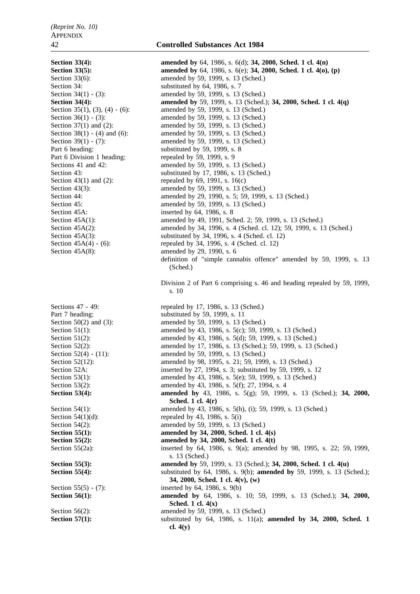Part 6 Division 1 heading: repealed by 59, 1999, s. 9 Section 45A: inserted by 64, 1986, s. 8 Section 45A(8): amended by 29, 1990, s. 6

**Section 33(4): amended by** 64, 1986, s. 6(d); **34, 2000, Sched. 1 cl. 4(n) Section 33(5): amended by** 64, 1986, s. 6(e); **34, 2000, Sched. 1 cl. 4(o), (p)** Section 33(6): amended by 59, 1999, s. 13 (Sched.) Section 34: substituted by 64, 1986, s. 7 Section 34(1) - (3): amended by 59, 1999, s. 13 (Sched.) **Section 34(4): amended by** 59, 1999, s. 13 (Sched.); **34, 2000, Sched. 1 cl. 4(q)** Section 35(1), (3), (4) - (6): amended by 59, 1999, s. 13 (Sched.) Section 36(1) - (3): amended by 59, 1999, s. 13 (Sched.) Section 37(1) and (2): amended by 59, 1999, s. 13 (Sched.) Section 38(1) - (4) and (6): amended by 59, 1999, s. 13 (Sched.) Section 39(1) - (7): amended by 59, 1999, s. 13 (Sched.) Part 6 heading: substituted by 59, 1999, s. 8 Sections 41 and 42: **amended** by 59, 1999, s. 13 (Sched.) Section 43: substituted by 17, 1986, s. 13 (Sched.) Section 43(1) and (2): repealed by 69, 1991, s.  $16(c)$ Section 43(3): amended by 59, 1999, s. 13 (Sched.) Section 44: **amended** by 29, 1990, s. 5; 59, 1999, s. 13 (Sched.) Section 45: **amended** by 59, 1999, s. 13 (Sched.) Section 45A(1): amended by 49, 1991, Sched. 2; 59, 1999, s. 13 (Sched.) Section 45A(2): amended by 34, 1996, s. 4 (Sched. cl. 12); 59, 1999, s. 13 (Sched.) Section 45A(3): substituted by 34, 1996, s. 4 (Sched. cl. 12) Section 45A(4) - (6): repealed by 34, 1996, s. 4 (Sched. cl. 12) definition of "simple cannabis offence" amended by 59, 1999, s. 13 (Sched.) Division 2 of Part 6 comprising s. 46 and heading repealed by 59, 1999, s. 10 Sections 47 - 49: repealed by 17, 1986, s. 13 (Sched.) Part 7 heading: substituted by 59, 1999, s. 11 Section 50(2) and (3): amended by 59, 1999, s. 13 (Sched.) Section 51(1): amended by 43, 1986, s. 5(c); 59, 1999, s. 13 (Sched.) Section 51(2): amended by 43, 1986, s. 5(d); 59, 1999, s. 13 (Sched.) Section 52(2): amended by 17, 1986, s. 13 (Sched.); 59, 1999, s. 13 (Sched.) Section 52(4) - (11): amended by 59, 1999, s. 13 (Sched.) Section 52(12): amended by 98, 1995, s. 21; 59, 1999, s. 13 (Sched.) Section 52A: inserted by 27, 1994, s. 3; substituted by 59, 1999, s. 12 Section 53(1): amended by 43, 1986, s. 5(e); 59, 1999, s. 13 (Sched.) Section 53(2): amended by 43, 1986, s. 5(f); 27, 1994, s. 4 **Section 53(4): amended by** 43, 1986, s. 5(g); 59, 1999, s. 13 (Sched.); **34, 2000, Sched. 1 cl. 4(r)** Section 54(1): amended by 43, 1986, s. 5(h), (i); 59, 1999, s. 13 (Sched.) Section 54(1)(d): repealed by 43, 1986, s. 5(i) Section 54(2): amended by 59, 1999, s. 13 (Sched.)<br>Section 55(1): amended by 34, 2000, Sched. 1 cl. amended by 34, 2000, Sched. 1 cl. 4(s) **Section 55(2):** amended by 34, 2000, Sched. 1 cl. 4(t) Section 55(2a): inserted by 64, 1986, s. 9(a); amended by 98, 1995, s. 22; 59, 1999, s. 13 (Sched.) **Section 55(3): amended by** 59, 1999, s. 13 (Sched.); **34, 2000, Sched. 1 cl. 4(u) Section 55(4):** substituted by 64, 1986, s. 9(b); **amended by** 59, 1999, s. 13 (Sched.); **34, 2000, Sched. 1 cl. 4(v), (w)** Section 55(5) - (7): inserted by 64, 1986, s. 9(b) **Section 56(1): amended by** 64, 1986, s. 10; 59, 1999, s. 13 (Sched.); **34, 2000, Sched. 1 cl. 4(x)** Section 56(2): amended by 59, 1999, s. 13 (Sched.) **Section 57(1):** substituted by 64, 1986, s. 11(a); **amended by 34, 2000, Sched. 1 cl. 4(y)**